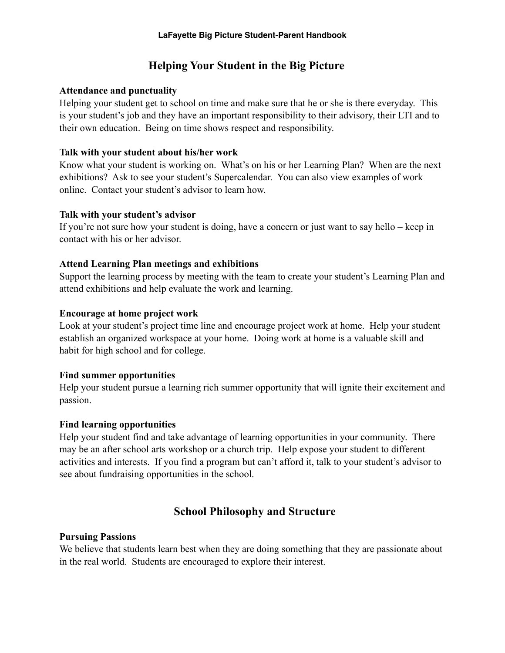# **Helping Your Student in the Big Picture**

# **Attendance and punctuality**

Helping your student get to school on time and make sure that he or she is there everyday. This is your student's job and they have an important responsibility to their advisory, their LTI and to their own education. Being on time shows respect and responsibility.

# **Talk with your student about his/her work**

Know what your student is working on. What's on his or her Learning Plan? When are the next exhibitions? Ask to see your student's Supercalendar. You can also view examples of work online. Contact your student's advisor to learn how.

# **Talk with your student's advisor**

If you're not sure how your student is doing, have a concern or just want to say hello – keep in contact with his or her advisor.

# **Attend Learning Plan meetings and exhibitions**

Support the learning process by meeting with the team to create your student's Learning Plan and attend exhibitions and help evaluate the work and learning.

# **Encourage at home project work**

Look at your student's project time line and encourage project work at home. Help your student establish an organized workspace at your home. Doing work at home is a valuable skill and habit for high school and for college.

# **Find summer opportunities**

Help your student pursue a learning rich summer opportunity that will ignite their excitement and passion.

# **Find learning opportunities**

Help your student find and take advantage of learning opportunities in your community. There may be an after school arts workshop or a church trip. Help expose your student to different activities and interests. If you find a program but can't afford it, talk to your student's advisor to see about fundraising opportunities in the school.

# **School Philosophy and Structure**

## **Pursuing Passions**

We believe that students learn best when they are doing something that they are passionate about in the real world. Students are encouraged to explore their interest.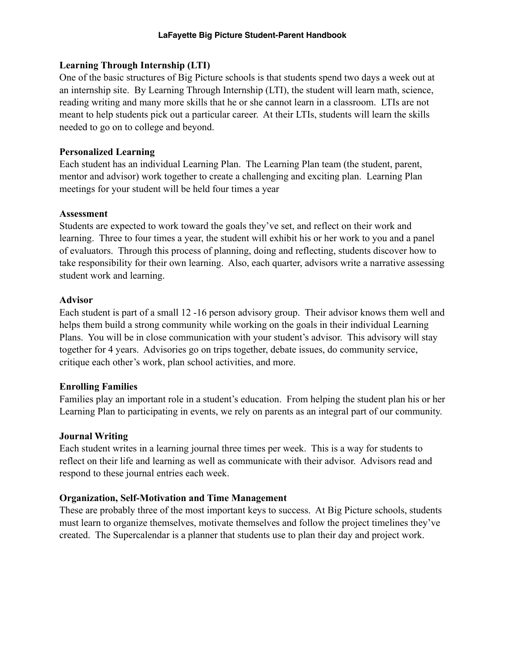#### **Learning Through Internship (LTI)**

One of the basic structures of Big Picture schools is that students spend two days a week out at an internship site. By Learning Through Internship (LTI), the student will learn math, science, reading writing and many more skills that he or she cannot learn in a classroom. LTIs are not meant to help students pick out a particular career. At their LTIs, students will learn the skills needed to go on to college and beyond.

#### **Personalized Learning**

Each student has an individual Learning Plan. The Learning Plan team (the student, parent, mentor and advisor) work together to create a challenging and exciting plan. Learning Plan meetings for your student will be held four times a year

#### **Assessment**

Students are expected to work toward the goals they've set, and reflect on their work and learning. Three to four times a year, the student will exhibit his or her work to you and a panel of evaluators. Through this process of planning, doing and reflecting, students discover how to take responsibility for their own learning. Also, each quarter, advisors write a narrative assessing student work and learning.

#### **Advisor**

Each student is part of a small 12 -16 person advisory group. Their advisor knows them well and helps them build a strong community while working on the goals in their individual Learning Plans. You will be in close communication with your student's advisor. This advisory will stay together for 4 years. Advisories go on trips together, debate issues, do community service, critique each other's work, plan school activities, and more.

## **Enrolling Families**

Families play an important role in a student's education. From helping the student plan his or her Learning Plan to participating in events, we rely on parents as an integral part of our community.

#### **Journal Writing**

Each student writes in a learning journal three times per week. This is a way for students to reflect on their life and learning as well as communicate with their advisor. Advisors read and respond to these journal entries each week.

## **Organization, Self-Motivation and Time Management**

These are probably three of the most important keys to success. At Big Picture schools, students must learn to organize themselves, motivate themselves and follow the project timelines they've created. The Supercalendar is a planner that students use to plan their day and project work.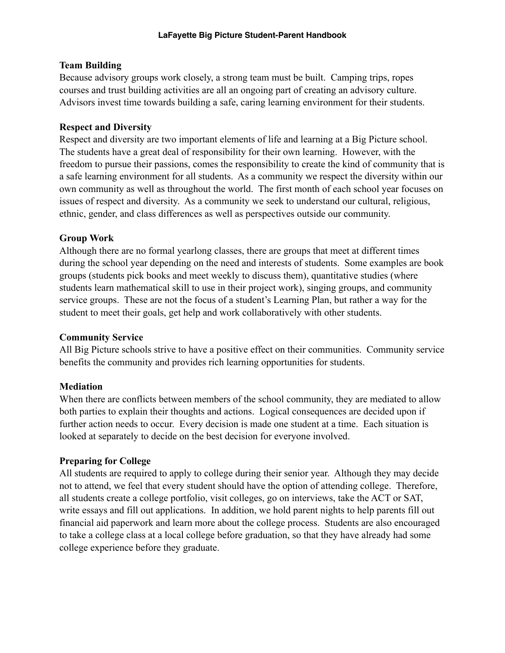## **Team Building**

Because advisory groups work closely, a strong team must be built. Camping trips, ropes courses and trust building activities are all an ongoing part of creating an advisory culture. Advisors invest time towards building a safe, caring learning environment for their students.

## **Respect and Diversity**

Respect and diversity are two important elements of life and learning at a Big Picture school. The students have a great deal of responsibility for their own learning. However, with the freedom to pursue their passions, comes the responsibility to create the kind of community that is a safe learning environment for all students. As a community we respect the diversity within our own community as well as throughout the world. The first month of each school year focuses on issues of respect and diversity. As a community we seek to understand our cultural, religious, ethnic, gender, and class differences as well as perspectives outside our community.

# **Group Work**

Although there are no formal yearlong classes, there are groups that meet at different times during the school year depending on the need and interests of students. Some examples are book groups (students pick books and meet weekly to discuss them), quantitative studies (where students learn mathematical skill to use in their project work), singing groups, and community service groups. These are not the focus of a student's Learning Plan, but rather a way for the student to meet their goals, get help and work collaboratively with other students.

## **Community Service**

All Big Picture schools strive to have a positive effect on their communities. Community service benefits the community and provides rich learning opportunities for students.

## **Mediation**

When there are conflicts between members of the school community, they are mediated to allow both parties to explain their thoughts and actions. Logical consequences are decided upon if further action needs to occur. Every decision is made one student at a time. Each situation is looked at separately to decide on the best decision for everyone involved.

## **Preparing for College**

All students are required to apply to college during their senior year. Although they may decide not to attend, we feel that every student should have the option of attending college. Therefore, all students create a college portfolio, visit colleges, go on interviews, take the ACT or SAT, write essays and fill out applications. In addition, we hold parent nights to help parents fill out financial aid paperwork and learn more about the college process. Students are also encouraged to take a college class at a local college before graduation, so that they have already had some college experience before they graduate.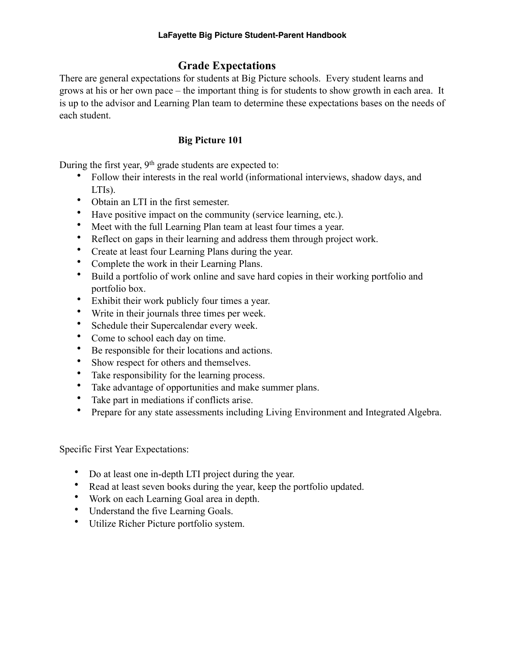# **Grade Expectations**

There are general expectations for students at Big Picture schools. Every student learns and grows at his or her own pace – the important thing is for students to show growth in each area. It is up to the advisor and Learning Plan team to determine these expectations bases on the needs of each student.

# **Big Picture 101**

During the first year, 9<sup>th</sup> grade students are expected to:

- Follow their interests in the real world (informational interviews, shadow days, and LTIs).
- Obtain an LTI in the first semester.<br>• Have positive impact on the community
- Have positive impact on the community (service learning, etc.).
- Meet with the full Learning Plan team at least four times a year.
- Reflect on gaps in their learning and address them through project work.<br>• Crosto at loost four Learning Plans during the year.
- Create at least four Learning Plans during the year.
- Complete the work in their Learning Plans.
- Build a portfolio of work online and save hard copies in their working portfolio and portfolio box.
- Exhibit their work publicly four times a year.
- Write in their journals three times per week.
- Schedule their Supercalendar every week.
- Come to school each day on time.
- Be responsible for their locations and actions.
- Show respect for others and themselves.
- Take responsibility for the learning process.
- Take advantage of opportunities and make summer plans.
- Take part in mediations if conflicts arise.
- Prepare for any state assessments including Living Environment and Integrated Algebra.

Specific First Year Expectations:

- Do at least one in-depth LTI project during the year.
- Read at least seven books during the year, keep the portfolio updated.
- Work on each Learning Goal area in depth.
- Understand the five Learning Goals.
- Utilize Richer Picture portfolio system.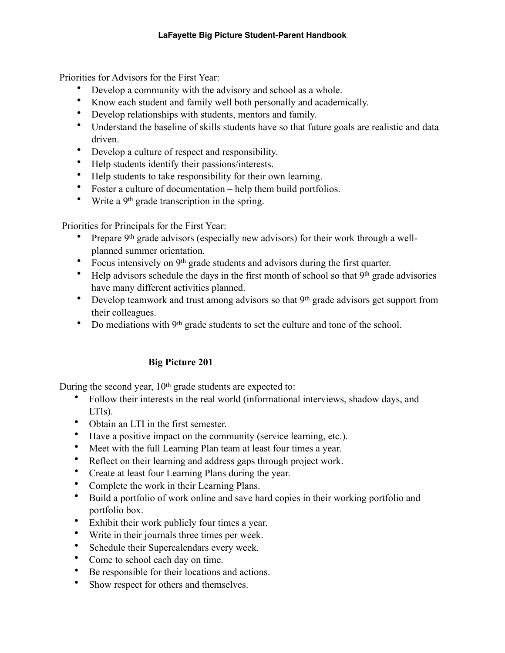Priorities for Advisors for the First Year:

- Develop a community with the advisory and school as a whole.
- Know each student and family well both personally and academically.
- Develop relationships with students, mentors and family.
- Understand the baseline of skills students have so that future goals are realistic and data driven.
- Develop a culture of respect and responsibility.
- Help students identify their passions/interests.<br>• Help students to take responsibility for their ov
- Help students to take responsibility for their own learning.<br>• Eoster a culture of documentation help them build portfo
- Foster a culture of documentation help them build portfolios.
- Write a 9<sup>th</sup> grade transcription in the spring.

Priorities for Principals for the First Year:

- Prepare 9<sup>th</sup> grade advisors (especially new advisors) for their work through a wellplanned summer orientation.
- Focus intensively on 9<sup>th</sup> grade students and advisors during the first quarter.<br>• Help advisors schedule the days in the first month of school so that 9<sup>th</sup> grade
- Help advisors schedule the days in the first month of school so that  $9<sup>th</sup>$  grade advisories have many different activities planned.
- Develop teamwork and trust among advisors so that 9<sup>th</sup> grade advisors get support from their colleagues.
- Do mediations with  $9<sup>th</sup>$  grade students to set the culture and tone of the school.

# **Big Picture 201**

During the second year, 10<sup>th</sup> grade students are expected to:

- Follow their interests in the real world (informational interviews, shadow days, and LTIs).
- Obtain an LTI in the first semester.
- Have a positive impact on the community (service learning, etc.).
- Meet with the full Learning Plan team at least four times a year.
- Reflect on their learning and address gaps through project work.
- Create at least four Learning Plans during the year.
- Complete the work in their Learning Plans.
- Build a portfolio of work online and save hard copies in their working portfolio and portfolio box.
- Exhibit their work publicly four times a year.
- Write in their journals three times per week.
- Schedule their Supercalendars every week.
- Come to school each day on time.
- Be responsible for their locations and actions.
- Show respect for others and themselves.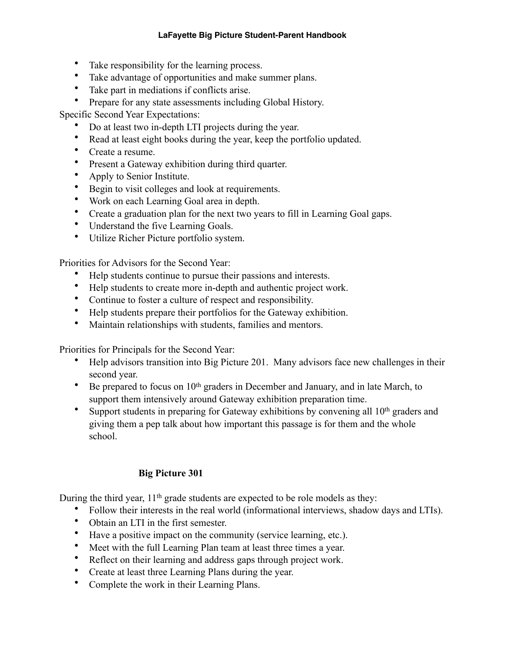- Take responsibility for the learning process.
- Take advantage of opportunities and make summer plans.
- Take part in mediations if conflicts arise.
- Prepare for any state assessments including Global History.

Specific Second Year Expectations:

- Do at least two in-depth LTI projects during the year.
- Read at least eight books during the year, keep the portfolio updated.
- Create a resume.
- Present a Gateway exhibition during third quarter.
- Apply to Senior Institute.
- Begin to visit colleges and look at requirements.
- Work on each Learning Goal area in depth.
- Create a graduation plan for the next two years to fill in Learning Goal gaps.
- Understand the five Learning Goals.
- Utilize Richer Picture portfolio system.

Priorities for Advisors for the Second Year:

- Help students continue to pursue their passions and interests.
- Help students to create more in-depth and authentic project work.
- Continue to foster a culture of respect and responsibility.
- Help students prepare their portfolios for the Gateway exhibition.
- Maintain relationships with students, families and mentors.

Priorities for Principals for the Second Year:

- Help advisors transition into Big Picture 201. Many advisors face new challenges in their second year.
- Be prepared to focus on 10<sup>th</sup> graders in December and January, and in late March, to support them intensively around Gateway exhibition preparation time.
- Support students in preparing for Gateway exhibitions by convening all 10<sup>th</sup> graders and giving them a pep talk about how important this passage is for them and the whole school.

# **Big Picture 301**

During the third year, 11<sup>th</sup> grade students are expected to be role models as they:

- Follow their interests in the real world (informational interviews, shadow days and LTIs).
- Obtain an LTI in the first semester.
- Have a positive impact on the community (service learning, etc.).
- Meet with the full Learning Plan team at least three times a year.
- Reflect on their learning and address gaps through project work.
- Create at least three Learning Plans during the year.
- Complete the work in their Learning Plans.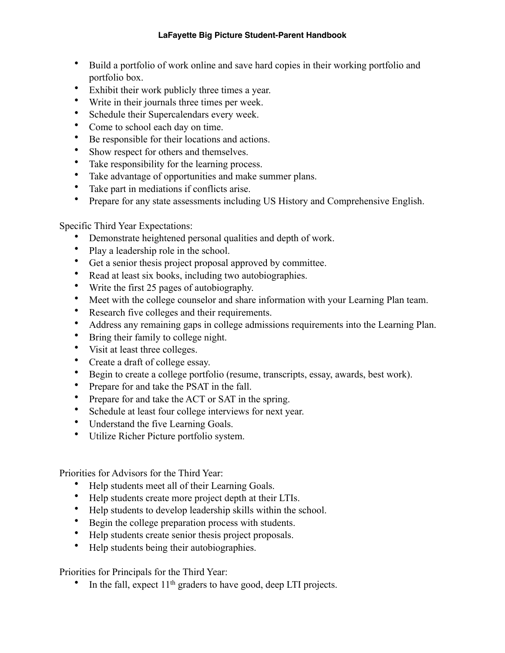- Build a portfolio of work online and save hard copies in their working portfolio and portfolio box.
- Exhibit their work publicly three times a year.
- Write in their journals three times per week.
- Schedule their Supercalendars every week.
- Come to school each day on time.
- Be responsible for their locations and actions.
- Show respect for others and themselves.
- Take responsibility for the learning process.
- Take advantage of opportunities and make summer plans.
- Take part in mediations if conflicts arise.
- Prepare for any state assessments including US History and Comprehensive English.

Specific Third Year Expectations:

- Demonstrate heightened personal qualities and depth of work.
- Play a leadership role in the school.
- Get a senior thesis project proposal approved by committee.
- Read at least six books, including two autobiographies.
- Write the first 25 pages of autobiography.
- Meet with the college counselor and share information with your Learning Plan team.
- Research five colleges and their requirements.
- Address any remaining gaps in college admissions requirements into the Learning Plan.
- Bring their family to college night.
- Visit at least three colleges.
- Create a draft of college essay.
- Begin to create a college portfolio (resume, transcripts, essay, awards, best work).
- Prepare for and take the PSAT in the fall.
- Prepare for and take the ACT or SAT in the spring.
- Schedule at least four college interviews for next year.
- Understand the five Learning Goals.
- Utilize Richer Picture portfolio system.

Priorities for Advisors for the Third Year:

- Help students meet all of their Learning Goals.
- Help students create more project depth at their LTIs.
- Help students to develop leadership skills within the school.
- Begin the college preparation process with students.
- Help students create senior thesis project proposals.
- Help students being their autobiographies.

Priorities for Principals for the Third Year:

• In the fall, expect  $11<sup>th</sup>$  graders to have good, deep LTI projects.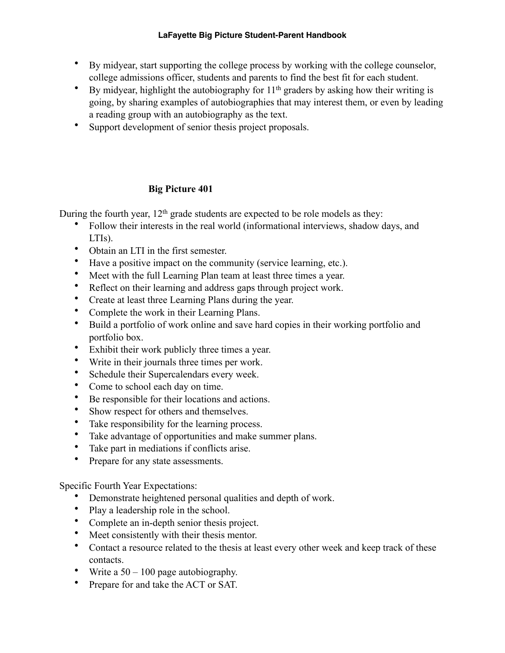- By midyear, start supporting the college process by working with the college counselor, college admissions officer, students and parents to find the best fit for each student.
- By midyear, highlight the autobiography for 11th graders by asking how their writing is going, by sharing examples of autobiographies that may interest them, or even by leading a reading group with an autobiography as the text.
- Support development of senior thesis project proposals.

# **Big Picture 401**

During the fourth year,  $12<sup>th</sup>$  grade students are expected to be role models as they:

- Follow their interests in the real world (informational interviews, shadow days, and LTIs).
- Obtain an LTI in the first semester.
- Have a positive impact on the community (service learning, etc.).
- Meet with the full Learning Plan team at least three times a year.
- Reflect on their learning and address gaps through project work.
- Create at least three Learning Plans during the year.
- Complete the work in their Learning Plans.
- Build a portfolio of work online and save hard copies in their working portfolio and portfolio box.
- Exhibit their work publicly three times a year.
- Write in their journals three times per work.
- Schedule their Supercalendars every week.
- Come to school each day on time.
- Be responsible for their locations and actions.
- Show respect for others and themselves.
- Take responsibility for the learning process.
- Take advantage of opportunities and make summer plans.
- Take part in mediations if conflicts arise.
- Prepare for any state assessments.

Specific Fourth Year Expectations:

- Demonstrate heightened personal qualities and depth of work.
- Play a leadership role in the school.
- Complete an in-depth senior thesis project.
- Meet consistently with their thesis mentor.
- Contact a resource related to the thesis at least every other week and keep track of these contacts.
- Write a 50 100 page autobiography.
- Prepare for and take the ACT or SAT.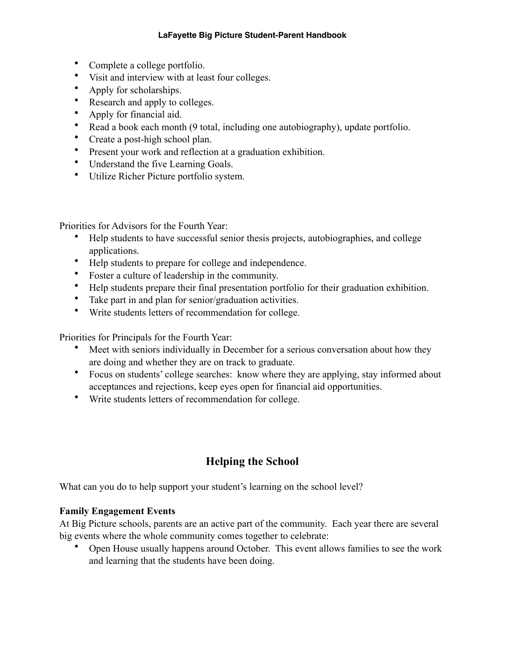- Complete a college portfolio.
- Visit and interview with at least four colleges.
- Apply for scholarships.
- Research and apply to colleges.
- Apply for financial aid.
- Read a book each month (9 total, including one autobiography), update portfolio.
- Create a post-high school plan.
- Present your work and reflection at a graduation exhibition.
- Understand the five Learning Goals.
- Utilize Richer Picture portfolio system.

Priorities for Advisors for the Fourth Year:

- Help students to have successful senior thesis projects, autobiographies, and college applications.
- Help students to prepare for college and independence.
- Foster a culture of leadership in the community.
- Help students prepare their final presentation portfolio for their graduation exhibition.
- Take part in and plan for senior/graduation activities.
- Write students letters of recommendation for college.

Priorities for Principals for the Fourth Year:

- Meet with seniors individually in December for a serious conversation about how they are doing and whether they are on track to graduate.
- Focus on students' college searches: know where they are applying, stay informed about acceptances and rejections, keep eyes open for financial aid opportunities.
- Write students letters of recommendation for college.

# **Helping the School**

What can you do to help support your student's learning on the school level?

# **Family Engagement Events**

At Big Picture schools, parents are an active part of the community. Each year there are several big events where the whole community comes together to celebrate:

• Open House usually happens around October. This event allows families to see the work and learning that the students have been doing.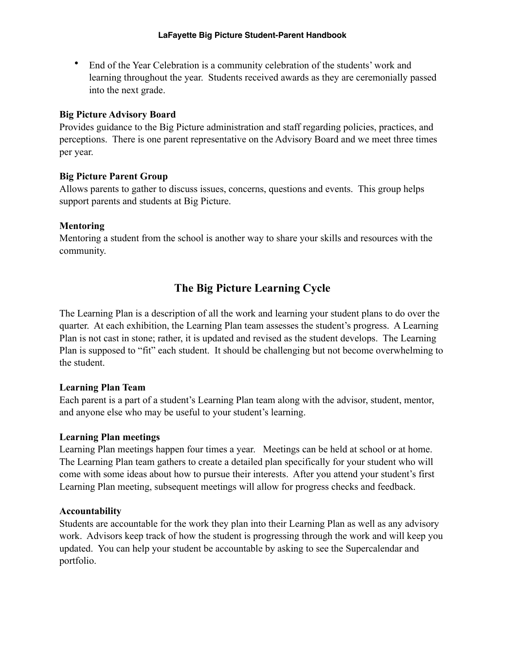• End of the Year Celebration is a community celebration of the students' work and learning throughout the year. Students received awards as they are ceremonially passed into the next grade.

#### **Big Picture Advisory Board**

Provides guidance to the Big Picture administration and staff regarding policies, practices, and perceptions. There is one parent representative on the Advisory Board and we meet three times per year.

## **Big Picture Parent Group**

Allows parents to gather to discuss issues, concerns, questions and events. This group helps support parents and students at Big Picture.

## **Mentoring**

Mentoring a student from the school is another way to share your skills and resources with the community.

# **The Big Picture Learning Cycle**

The Learning Plan is a description of all the work and learning your student plans to do over the quarter. At each exhibition, the Learning Plan team assesses the student's progress. A Learning Plan is not cast in stone; rather, it is updated and revised as the student develops. The Learning Plan is supposed to "fit" each student. It should be challenging but not become overwhelming to the student.

## **Learning Plan Team**

Each parent is a part of a student's Learning Plan team along with the advisor, student, mentor, and anyone else who may be useful to your student's learning.

## **Learning Plan meetings**

Learning Plan meetings happen four times a year. Meetings can be held at school or at home. The Learning Plan team gathers to create a detailed plan specifically for your student who will come with some ideas about how to pursue their interests. After you attend your student's first Learning Plan meeting, subsequent meetings will allow for progress checks and feedback.

## **Accountability**

Students are accountable for the work they plan into their Learning Plan as well as any advisory work. Advisors keep track of how the student is progressing through the work and will keep you updated. You can help your student be accountable by asking to see the Supercalendar and portfolio.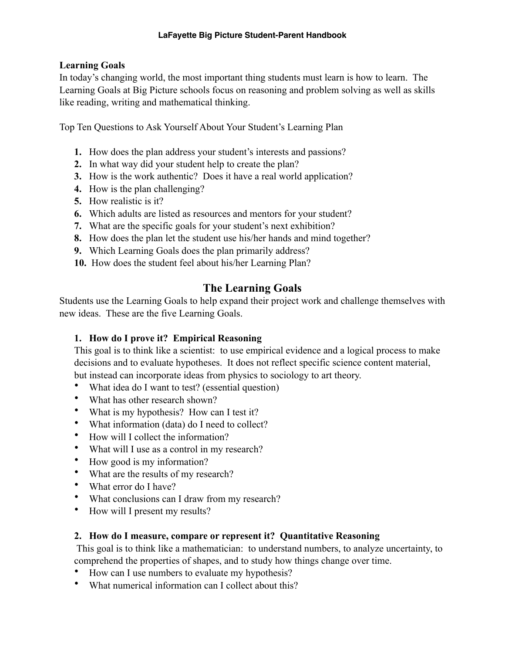## **Learning Goals**

In today's changing world, the most important thing students must learn is how to learn. The Learning Goals at Big Picture schools focus on reasoning and problem solving as well as skills like reading, writing and mathematical thinking.

Top Ten Questions to Ask Yourself About Your Student's Learning Plan

- **1.** How does the plan address your student's interests and passions?
- **2.** In what way did your student help to create the plan?
- **3.** How is the work authentic? Does it have a real world application?
- **4.** How is the plan challenging?
- **5.** How realistic is it?
- **6.** Which adults are listed as resources and mentors for your student?
- **7.** What are the specific goals for your student's next exhibition?
- **8.** How does the plan let the student use his/her hands and mind together?
- **9.** Which Learning Goals does the plan primarily address?
- **10.** How does the student feel about his/her Learning Plan?

# **The Learning Goals**

Students use the Learning Goals to help expand their project work and challenge themselves with new ideas. These are the five Learning Goals.

# **1. How do I prove it? Empirical Reasoning**

This goal is to think like a scientist: to use empirical evidence and a logical process to make decisions and to evaluate hypotheses. It does not reflect specific science content material, but instead can incorporate ideas from physics to sociology to art theory.

- What idea do I want to test? (essential question)
- What has other research shown?
- What is my hypothesis? How can I test it?
- What information (data) do I need to collect?
- How will I collect the information?
- What will I use as a control in my research?
- How good is my information?
- What are the results of my research?
- What error do I have?
- What conclusions can I draw from my research?
- How will I present my results?

# **2. How do I measure, compare or represent it? Quantitative Reasoning**

 This goal is to think like a mathematician: to understand numbers, to analyze uncertainty, to comprehend the properties of shapes, and to study how things change over time.

- How can I use numbers to evaluate my hypothesis?
- What numerical information can I collect about this?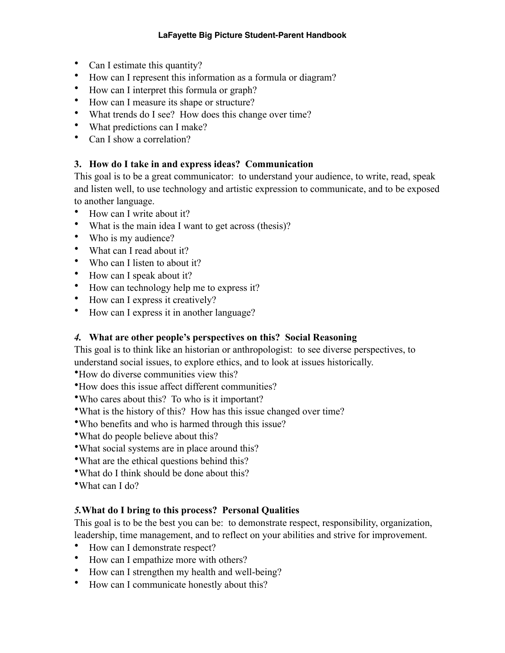- Can I estimate this quantity?
- How can I represent this information as a formula or diagram?
- How can I interpret this formula or graph?
- How can I measure its shape or structure?
- What trends do I see? How does this change over time?
- What predictions can I make?
- Can I show a correlation?

# **3. How do I take in and express ideas? Communication**

This goal is to be a great communicator: to understand your audience, to write, read, speak and listen well, to use technology and artistic expression to communicate, and to be exposed to another language.

- How can I write about it?
- What is the main idea I want to get across (thesis)?
- Who is my audience?
- What can I read about it?
- Who can I listen to about it?
- How can I speak about it?
- How can technology help me to express it?
- How can I express it creatively?
- How can I express it in another language?

# *4.* **What are other people's perspectives on this? Social Reasoning**

This goal is to think like an historian or anthropologist: to see diverse perspectives, to understand social issues, to explore ethics, and to look at issues historically.

•How do diverse communities view this?

- •How does this issue affect different communities?
- •Who cares about this? To who is it important?
- •What is the history of this? How has this issue changed over time?
- •Who benefits and who is harmed through this issue?
- •What do people believe about this?
- •What social systems are in place around this?
- •What are the ethical questions behind this?
- •What do I think should be done about this?
- •What can I do?

# *5.***What do I bring to this process? Personal Qualities**

This goal is to be the best you can be: to demonstrate respect, responsibility, organization, leadership, time management, and to reflect on your abilities and strive for improvement.

- How can I demonstrate respect?
- How can I empathize more with others?
- How can I strengthen my health and well-being?
- How can I communicate honestly about this?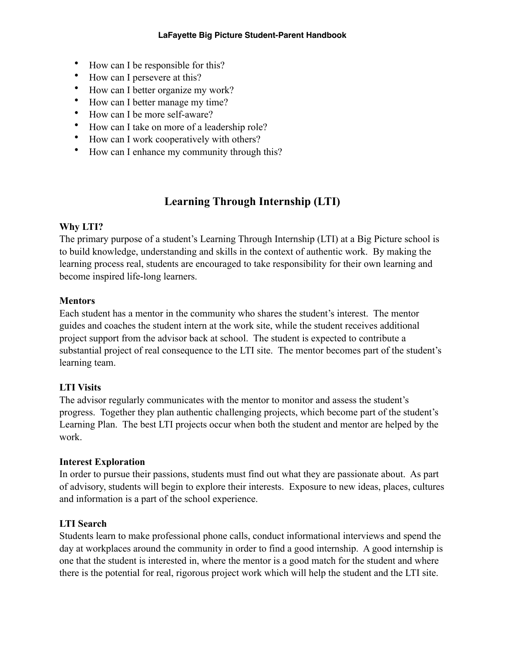- How can I be responsible for this?
- How can I persevere at this?
- How can I better organize my work?
- How can I better manage my time?
- How can I be more self-aware?
- How can I take on more of a leadership role?
- How can I work cooperatively with others?
- How can I enhance my community through this?

# **Learning Through Internship (LTI)**

## **Why LTI?**

The primary purpose of a student's Learning Through Internship (LTI) at a Big Picture school is to build knowledge, understanding and skills in the context of authentic work. By making the learning process real, students are encouraged to take responsibility for their own learning and become inspired life-long learners.

## **Mentors**

Each student has a mentor in the community who shares the student's interest. The mentor guides and coaches the student intern at the work site, while the student receives additional project support from the advisor back at school. The student is expected to contribute a substantial project of real consequence to the LTI site. The mentor becomes part of the student's learning team.

# **LTI Visits**

The advisor regularly communicates with the mentor to monitor and assess the student's progress. Together they plan authentic challenging projects, which become part of the student's Learning Plan. The best LTI projects occur when both the student and mentor are helped by the work.

## **Interest Exploration**

In order to pursue their passions, students must find out what they are passionate about. As part of advisory, students will begin to explore their interests. Exposure to new ideas, places, cultures and information is a part of the school experience.

## **LTI Search**

Students learn to make professional phone calls, conduct informational interviews and spend the day at workplaces around the community in order to find a good internship. A good internship is one that the student is interested in, where the mentor is a good match for the student and where there is the potential for real, rigorous project work which will help the student and the LTI site.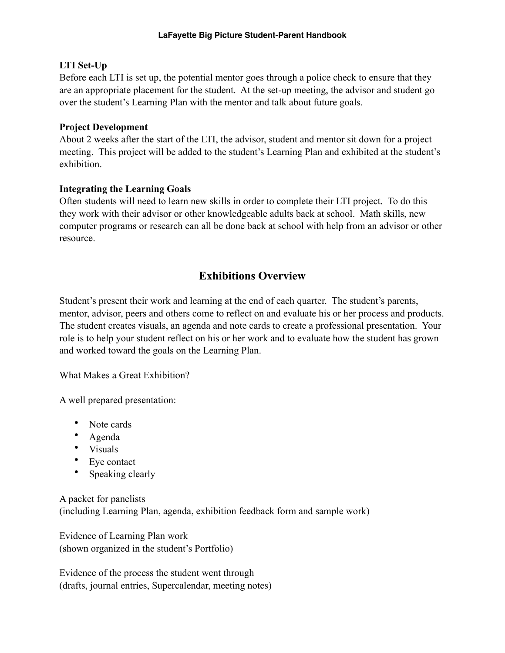# **LTI Set-Up**

Before each LTI is set up, the potential mentor goes through a police check to ensure that they are an appropriate placement for the student. At the set-up meeting, the advisor and student go over the student's Learning Plan with the mentor and talk about future goals.

## **Project Development**

About 2 weeks after the start of the LTI, the advisor, student and mentor sit down for a project meeting. This project will be added to the student's Learning Plan and exhibited at the student's exhibition.

# **Integrating the Learning Goals**

Often students will need to learn new skills in order to complete their LTI project. To do this they work with their advisor or other knowledgeable adults back at school. Math skills, new computer programs or research can all be done back at school with help from an advisor or other resource.

# **Exhibitions Overview**

Student's present their work and learning at the end of each quarter. The student's parents, mentor, advisor, peers and others come to reflect on and evaluate his or her process and products. The student creates visuals, an agenda and note cards to create a professional presentation. Your role is to help your student reflect on his or her work and to evaluate how the student has grown and worked toward the goals on the Learning Plan.

What Makes a Great Exhibition?

A well prepared presentation:

- Note cards
- Agenda
- Visuals
- Eye contact
- Speaking clearly

A packet for panelists (including Learning Plan, agenda, exhibition feedback form and sample work)

Evidence of Learning Plan work (shown organized in the student's Portfolio)

Evidence of the process the student went through (drafts, journal entries, Supercalendar, meeting notes)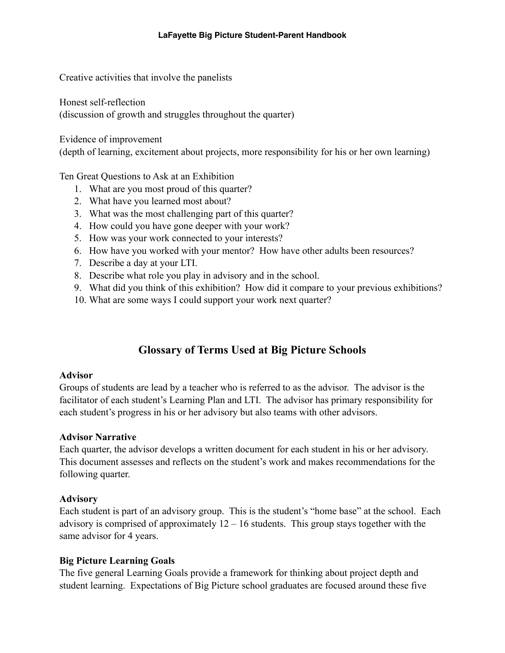Creative activities that involve the panelists

Honest self-reflection (discussion of growth and struggles throughout the quarter)

Evidence of improvement

(depth of learning, excitement about projects, more responsibility for his or her own learning)

Ten Great Questions to Ask at an Exhibition

- 1. What are you most proud of this quarter?
- 2. What have you learned most about?
- 3. What was the most challenging part of this quarter?
- 4. How could you have gone deeper with your work?
- 5. How was your work connected to your interests?
- 6. How have you worked with your mentor? How have other adults been resources?
- 7. Describe a day at your LTI.
- 8. Describe what role you play in advisory and in the school.
- 9. What did you think of this exhibition? How did it compare to your previous exhibitions?
- 10. What are some ways I could support your work next quarter?

# **Glossary of Terms Used at Big Picture Schools**

## **Advisor**

Groups of students are lead by a teacher who is referred to as the advisor. The advisor is the facilitator of each student's Learning Plan and LTI. The advisor has primary responsibility for each student's progress in his or her advisory but also teams with other advisors.

# **Advisor Narrative**

Each quarter, the advisor develops a written document for each student in his or her advisory. This document assesses and reflects on the student's work and makes recommendations for the following quarter.

# **Advisory**

Each student is part of an advisory group. This is the student's "home base" at the school. Each advisory is comprised of approximately  $12 - 16$  students. This group stays together with the same advisor for 4 years.

# **Big Picture Learning Goals**

The five general Learning Goals provide a framework for thinking about project depth and student learning. Expectations of Big Picture school graduates are focused around these five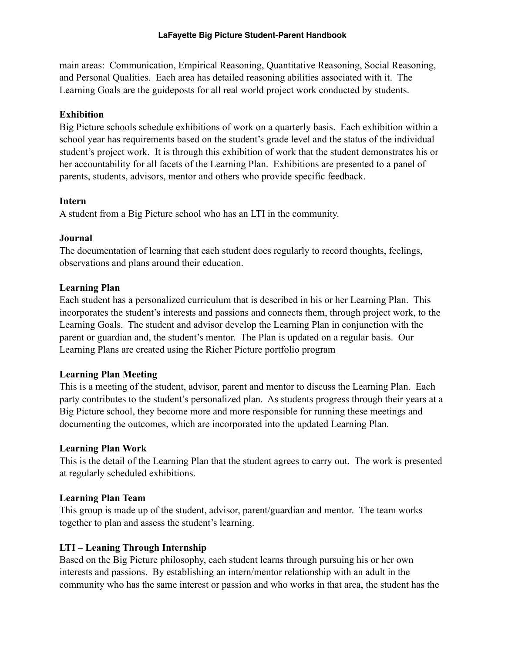main areas: Communication, Empirical Reasoning, Quantitative Reasoning, Social Reasoning, and Personal Qualities. Each area has detailed reasoning abilities associated with it. The Learning Goals are the guideposts for all real world project work conducted by students.

# **Exhibition**

Big Picture schools schedule exhibitions of work on a quarterly basis. Each exhibition within a school year has requirements based on the student's grade level and the status of the individual student's project work. It is through this exhibition of work that the student demonstrates his or her accountability for all facets of the Learning Plan. Exhibitions are presented to a panel of parents, students, advisors, mentor and others who provide specific feedback.

# **Intern**

A student from a Big Picture school who has an LTI in the community.

# **Journal**

The documentation of learning that each student does regularly to record thoughts, feelings, observations and plans around their education.

# **Learning Plan**

Each student has a personalized curriculum that is described in his or her Learning Plan. This incorporates the student's interests and passions and connects them, through project work, to the Learning Goals. The student and advisor develop the Learning Plan in conjunction with the parent or guardian and, the student's mentor. The Plan is updated on a regular basis. Our Learning Plans are created using the Richer Picture portfolio program

# **Learning Plan Meeting**

This is a meeting of the student, advisor, parent and mentor to discuss the Learning Plan. Each party contributes to the student's personalized plan. As students progress through their years at a Big Picture school, they become more and more responsible for running these meetings and documenting the outcomes, which are incorporated into the updated Learning Plan.

# **Learning Plan Work**

This is the detail of the Learning Plan that the student agrees to carry out. The work is presented at regularly scheduled exhibitions.

# **Learning Plan Team**

This group is made up of the student, advisor, parent/guardian and mentor. The team works together to plan and assess the student's learning.

# **LTI – Leaning Through Internship**

Based on the Big Picture philosophy, each student learns through pursuing his or her own interests and passions. By establishing an intern/mentor relationship with an adult in the community who has the same interest or passion and who works in that area, the student has the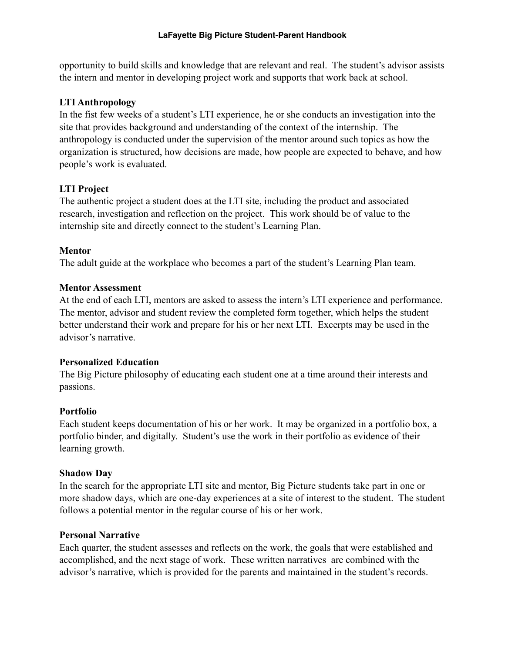opportunity to build skills and knowledge that are relevant and real. The student's advisor assists the intern and mentor in developing project work and supports that work back at school.

# **LTI Anthropology**

In the fist few weeks of a student's LTI experience, he or she conducts an investigation into the site that provides background and understanding of the context of the internship. The anthropology is conducted under the supervision of the mentor around such topics as how the organization is structured, how decisions are made, how people are expected to behave, and how people's work is evaluated.

# **LTI Project**

The authentic project a student does at the LTI site, including the product and associated research, investigation and reflection on the project. This work should be of value to the internship site and directly connect to the student's Learning Plan.

# **Mentor**

The adult guide at the workplace who becomes a part of the student's Learning Plan team.

# **Mentor Assessment**

At the end of each LTI, mentors are asked to assess the intern's LTI experience and performance. The mentor, advisor and student review the completed form together, which helps the student better understand their work and prepare for his or her next LTI. Excerpts may be used in the advisor's narrative.

# **Personalized Education**

The Big Picture philosophy of educating each student one at a time around their interests and passions.

## **Portfolio**

Each student keeps documentation of his or her work. It may be organized in a portfolio box, a portfolio binder, and digitally. Student's use the work in their portfolio as evidence of their learning growth.

## **Shadow Day**

In the search for the appropriate LTI site and mentor, Big Picture students take part in one or more shadow days, which are one-day experiences at a site of interest to the student. The student follows a potential mentor in the regular course of his or her work.

## **Personal Narrative**

Each quarter, the student assesses and reflects on the work, the goals that were established and accomplished, and the next stage of work. These written narratives are combined with the advisor's narrative, which is provided for the parents and maintained in the student's records.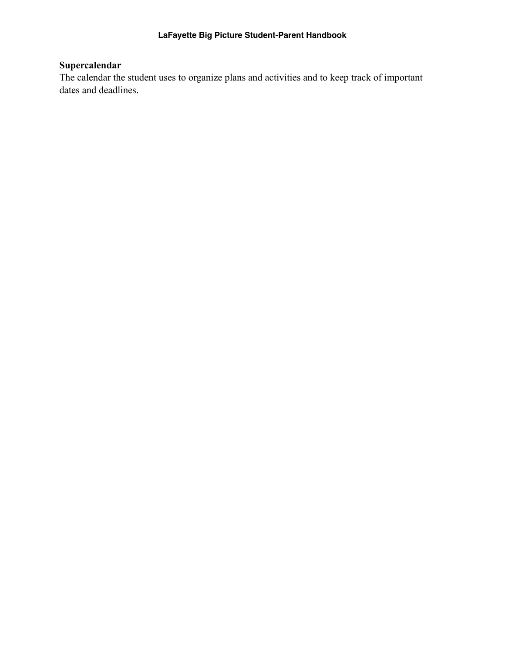# **Supercalendar**

The calendar the student uses to organize plans and activities and to keep track of important dates and deadlines.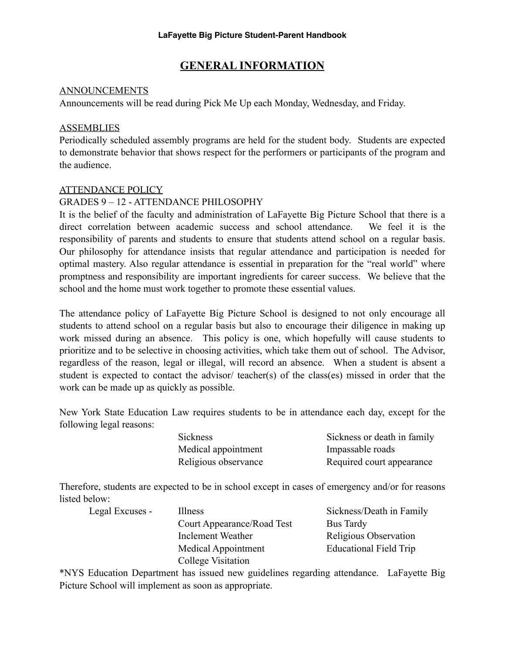# **GENERAL INFORMATION**

# ANNOUNCEMENTS

Announcements will be read during Pick Me Up each Monday, Wednesday, and Friday.

# **ASSEMBLIES**

Periodically scheduled assembly programs are held for the student body. Students are expected to demonstrate behavior that shows respect for the performers or participants of the program and the audience.

## ATTENDANCE POLICY

# GRADES 9 – 12 - ATTENDANCE PHILOSOPHY

It is the belief of the faculty and administration of LaFayette Big Picture School that there is a direct correlation between academic success and school attendance. We feel it is the responsibility of parents and students to ensure that students attend school on a regular basis. Our philosophy for attendance insists that regular attendance and participation is needed for optimal mastery. Also regular attendance is essential in preparation for the "real world" where promptness and responsibility are important ingredients for career success. We believe that the school and the home must work together to promote these essential values.

The attendance policy of LaFayette Big Picture School is designed to not only encourage all students to attend school on a regular basis but also to encourage their diligence in making up work missed during an absence. This policy is one, which hopefully will cause students to prioritize and to be selective in choosing activities, which take them out of school. The Advisor, regardless of the reason, legal or illegal, will record an absence. When a student is absent a student is expected to contact the advisor/ teacher(s) of the class(es) missed in order that the work can be made up as quickly as possible.

New York State Education Law requires students to be in attendance each day, except for the following legal reasons:

| <b>Sickness</b>      | Sickness or death |
|----------------------|-------------------|
| Medical appointment  | Impassable roads  |
| Religious observance | Required court ap |

Sickness Sickness or death in family Religious observance Required court appearance

Therefore, students are expected to be in school except in cases of emergency and/or for reasons listed below:

| Legal Excuses - | <b>Illness</b>             | Sickness/Death in Family      |
|-----------------|----------------------------|-------------------------------|
|                 | Court Appearance/Road Test | <b>Bus Tardy</b>              |
|                 | Inclement Weather          | Religious Observation         |
|                 | Medical Appointment        | <b>Educational Field Trip</b> |
|                 | College Visitation         |                               |

\*NYS Education Department has issued new guidelines regarding attendance. LaFayette Big Picture School will implement as soon as appropriate.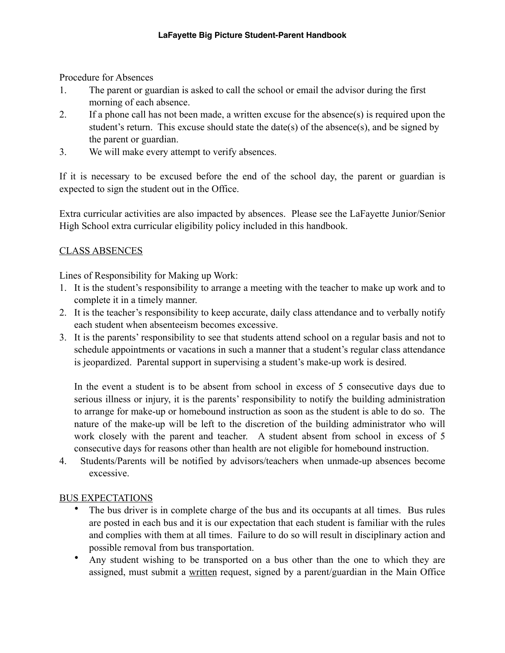Procedure for Absences

- 1. The parent or guardian is asked to call the school or email the advisor during the first morning of each absence.
- 2. If a phone call has not been made, a written excuse for the absence(s) is required upon the student's return. This excuse should state the date(s) of the absence(s), and be signed by the parent or guardian.
- 3. We will make every attempt to verify absences.

If it is necessary to be excused before the end of the school day, the parent or guardian is expected to sign the student out in the Office.

Extra curricular activities are also impacted by absences. Please see the LaFayette Junior/Senior High School extra curricular eligibility policy included in this handbook.

# CLASS ABSENCES

Lines of Responsibility for Making up Work:

- 1. It is the student's responsibility to arrange a meeting with the teacher to make up work and to complete it in a timely manner.
- 2. It is the teacher's responsibility to keep accurate, daily class attendance and to verbally notify each student when absenteeism becomes excessive.
- 3. It is the parents' responsibility to see that students attend school on a regular basis and not to schedule appointments or vacations in such a manner that a student's regular class attendance is jeopardized. Parental support in supervising a student's make-up work is desired.

 In the event a student is to be absent from school in excess of 5 consecutive days due to serious illness or injury, it is the parents' responsibility to notify the building administration to arrange for make-up or homebound instruction as soon as the student is able to do so. The nature of the make-up will be left to the discretion of the building administrator who will work closely with the parent and teacher. A student absent from school in excess of 5 consecutive days for reasons other than health are not eligible for homebound instruction.

4. Students/Parents will be notified by advisors/teachers when unmade-up absences become excessive.

## BUS EXPECTATIONS

- The bus driver is in complete charge of the bus and its occupants at all times. Bus rules are posted in each bus and it is our expectation that each student is familiar with the rules and complies with them at all times. Failure to do so will result in disciplinary action and possible removal from bus transportation.
- Any student wishing to be transported on a bus other than the one to which they are assigned, must submit a written request, signed by a parent/guardian in the Main Office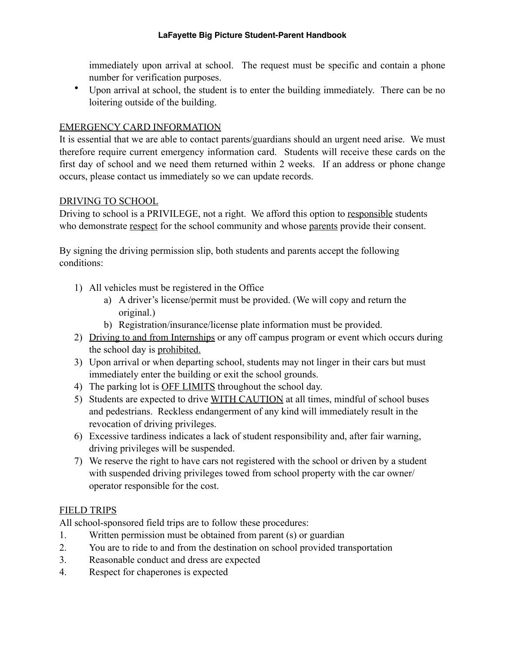immediately upon arrival at school. The request must be specific and contain a phone number for verification purposes.

• Upon arrival at school, the student is to enter the building immediately. There can be no loitering outside of the building.

# EMERGENCY CARD INFORMATION

It is essential that we are able to contact parents/guardians should an urgent need arise. We must therefore require current emergency information card. Students will receive these cards on the first day of school and we need them returned within 2 weeks. If an address or phone change occurs, please contact us immediately so we can update records.

# DRIVING TO SCHOOL

Driving to school is a PRIVILEGE, not a right. We afford this option to responsible students who demonstrate respect for the school community and whose parents provide their consent.

By signing the driving permission slip, both students and parents accept the following conditions:

- 1) All vehicles must be registered in the Office
	- a) A driver's license/permit must be provided. (We will copy and return the original.)
	- b) Registration/insurance/license plate information must be provided.
- 2) Driving to and from Internships or any off campus program or event which occurs during the school day is prohibited.
- 3) Upon arrival or when departing school, students may not linger in their cars but must immediately enter the building or exit the school grounds.
- 4) The parking lot is OFF LIMITS throughout the school day.
- 5) Students are expected to drive WITH CAUTION at all times, mindful of school buses and pedestrians. Reckless endangerment of any kind will immediately result in the revocation of driving privileges.
- 6) Excessive tardiness indicates a lack of student responsibility and, after fair warning, driving privileges will be suspended.
- 7) We reserve the right to have cars not registered with the school or driven by a student with suspended driving privileges towed from school property with the car owner/ operator responsible for the cost.

# FIELD TRIPS

All school-sponsored field trips are to follow these procedures:

- 1. Written permission must be obtained from parent (s) or guardian
- 2. You are to ride to and from the destination on school provided transportation
- 3. Reasonable conduct and dress are expected
- 4. Respect for chaperones is expected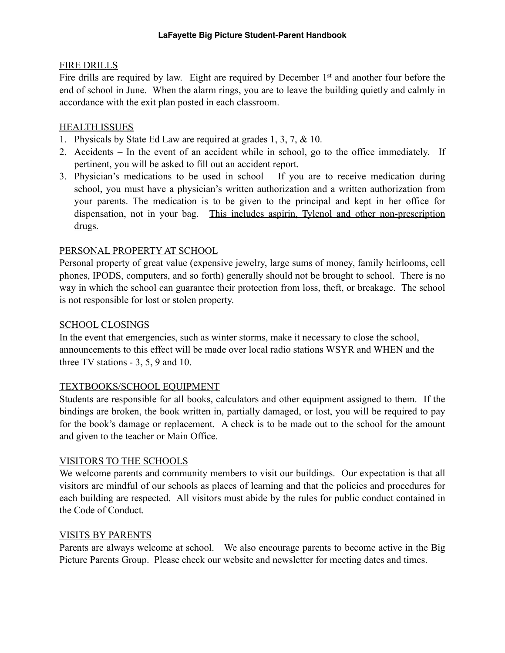## FIRE DRILLS

Fire drills are required by law. Eight are required by December 1<sup>st</sup> and another four before the end of school in June. When the alarm rings, you are to leave the building quietly and calmly in accordance with the exit plan posted in each classroom.

## HEALTH ISSUES

- 1. Physicals by State Ed Law are required at grades 1, 3, 7, & 10.
- 2. Accidents In the event of an accident while in school, go to the office immediately. If pertinent, you will be asked to fill out an accident report.
- 3. Physician's medications to be used in school If you are to receive medication during school, you must have a physician's written authorization and a written authorization from your parents. The medication is to be given to the principal and kept in her office for dispensation, not in your bag. This includes aspirin, Tylenol and other non-prescription drugs.

# PERSONAL PROPERTY AT SCHOOL

Personal property of great value (expensive jewelry, large sums of money, family heirlooms, cell phones, IPODS, computers, and so forth) generally should not be brought to school. There is no way in which the school can guarantee their protection from loss, theft, or breakage. The school is not responsible for lost or stolen property.

# SCHOOL CLOSINGS

In the event that emergencies, such as winter storms, make it necessary to close the school, announcements to this effect will be made over local radio stations WSYR and WHEN and the three TV stations - 3, 5, 9 and 10.

# TEXTBOOKS/SCHOOL EQUIPMENT

Students are responsible for all books, calculators and other equipment assigned to them. If the bindings are broken, the book written in, partially damaged, or lost, you will be required to pay for the book's damage or replacement. A check is to be made out to the school for the amount and given to the teacher or Main Office.

## VISITORS TO THE SCHOOLS

We welcome parents and community members to visit our buildings. Our expectation is that all visitors are mindful of our schools as places of learning and that the policies and procedures for each building are respected. All visitors must abide by the rules for public conduct contained in the Code of Conduct.

## VISITS BY PARENTS

Parents are always welcome at school. We also encourage parents to become active in the Big Picture Parents Group. Please check our website and newsletter for meeting dates and times.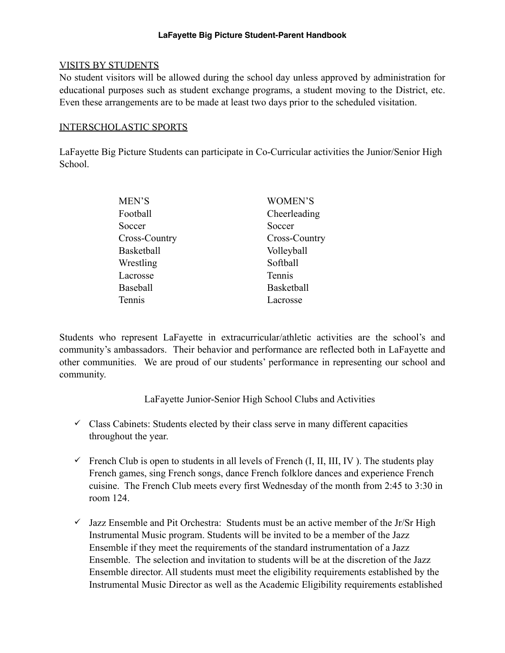#### VISITS BY STUDENTS

No student visitors will be allowed during the school day unless approved by administration for educational purposes such as student exchange programs, a student moving to the District, etc. Even these arrangements are to be made at least two days prior to the scheduled visitation.

#### INTERSCHOLASTIC SPORTS

LaFayette Big Picture Students can participate in Co-Curricular activities the Junior/Senior High School.

| MEN'S             | <b>WOMEN'S</b> |
|-------------------|----------------|
| Football          | Cheerleading   |
| Soccer            | Soccer         |
| Cross-Country     | Cross-Country  |
| <b>Basketball</b> | Volleyball     |
| Wrestling         | Softball       |
| Lacrosse          | Tennis         |
| Baseball          | Basketball     |
| Tennis            | Lacrosse       |
|                   |                |

Students who represent LaFayette in extracurricular/athletic activities are the school's and community's ambassadors. Their behavior and performance are reflected both in LaFayette and other communities. We are proud of our students' performance in representing our school and community.

LaFayette Junior-Senior High School Clubs and Activities

- $\checkmark$  Class Cabinets: Students elected by their class serve in many different capacities throughout the year.
- $\checkmark$  French Club is open to students in all levels of French (I, II, III, IV). The students play French games, sing French songs, dance French folklore dances and experience French cuisine. The French Club meets every first Wednesday of the month from 2:45 to 3:30 in room 124.
- $\checkmark$  Jazz Ensemble and Pit Orchestra: Students must be an active member of the Jr/Sr High Instrumental Music program. Students will be invited to be a member of the Jazz Ensemble if they meet the requirements of the standard instrumentation of a Jazz Ensemble. The selection and invitation to students will be at the discretion of the Jazz Ensemble director. All students must meet the eligibility requirements established by the Instrumental Music Director as well as the Academic Eligibility requirements established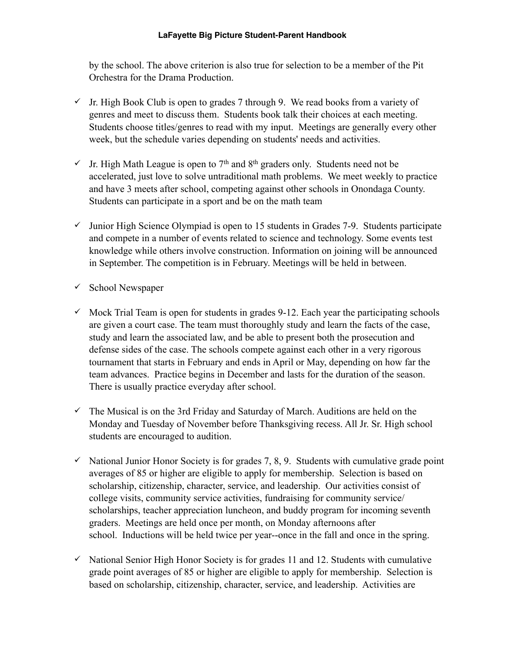by the school. The above criterion is also true for selection to be a member of the Pit Orchestra for the Drama Production.

- $\checkmark$  Jr. High Book Club is open to grades 7 through 9. We read books from a variety of genres and meet to discuss them. Students book talk their choices at each meeting. Students choose titles/genres to read with my input. Meetings are generally every other week, but the schedule varies depending on students' needs and activities.
- $\checkmark$  Jr. High Math League is open to 7<sup>th</sup> and 8<sup>th</sup> graders only. Students need not be accelerated, just love to solve untraditional math problems. We meet weekly to practice and have 3 meets after school, competing against other schools in Onondaga County. Students can participate in a sport and be on the math team
- $\checkmark$  Junior High Science Olympiad is open to 15 students in Grades 7-9. Students participate and compete in a number of events related to science and technology. Some events test knowledge while others involve construction. Information on joining will be announced in September. The competition is in February. Meetings will be held in between.
- $\checkmark$  School Newspaper
- $\checkmark$  Mock Trial Team is open for students in grades 9-12. Each year the participating schools are given a court case. The team must thoroughly study and learn the facts of the case, study and learn the associated law, and be able to present both the prosecution and defense sides of the case. The schools compete against each other in a very rigorous tournament that starts in February and ends in April or May, depending on how far the team advances. Practice begins in December and lasts for the duration of the season. There is usually practice everyday after school.
- $\checkmark$  The Musical is on the 3rd Friday and Saturday of March. Auditions are held on the Monday and Tuesday of November before Thanksgiving recess. All Jr. Sr. High school students are encouraged to audition.
- $\checkmark$  National Junior Honor Society is for grades 7, 8, 9. Students with cumulative grade point averages of 85 or higher are eligible to apply for membership. Selection is based on scholarship, citizenship, character, service, and leadership. Our activities consist of college visits, community service activities, fundraising for community service/ scholarships, teacher appreciation luncheon, and buddy program for incoming seventh graders. Meetings are held once per month, on Monday afternoons after school. Inductions will be held twice per year--once in the fall and once in the spring.
- $\checkmark$  National Senior High Honor Society is for grades 11 and 12. Students with cumulative grade point averages of 85 or higher are eligible to apply for membership. Selection is based on scholarship, citizenship, character, service, and leadership. Activities are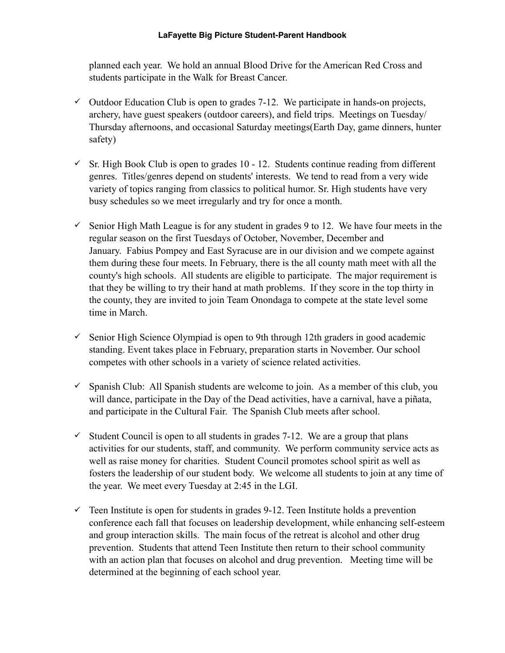planned each year. We hold an annual Blood Drive for the American Red Cross and students participate in the Walk for Breast Cancer.

- $\checkmark$  Outdoor Education Club is open to grades 7-12. We participate in hands-on projects, archery, have guest speakers (outdoor careers), and field trips. Meetings on Tuesday/ Thursday afternoons, and occasional Saturday meetings(Earth Day, game dinners, hunter safety)
- $\checkmark$  Sr. High Book Club is open to grades 10 12. Students continue reading from different genres. Titles/genres depend on students' interests. We tend to read from a very wide variety of topics ranging from classics to political humor. Sr. High students have very busy schedules so we meet irregularly and try for once a month.
- $\checkmark$  Senior High Math League is for any student in grades 9 to 12. We have four meets in the regular season on the first Tuesdays of October, November, December and January. Fabius Pompey and East Syracuse are in our division and we compete against them during these four meets. In February, there is the all county math meet with all the county's high schools. All students are eligible to participate. The major requirement is that they be willing to try their hand at math problems. If they score in the top thirty in the county, they are invited to join Team Onondaga to compete at the state level some time in March.
- $\checkmark$  Senior High Science Olympiad is open to 9th through 12th graders in good academic standing. Event takes place in February, preparation starts in November. Our school competes with other schools in a variety of science related activities.
- $\checkmark$  Spanish Club: All Spanish students are welcome to join. As a member of this club, you will dance, participate in the Day of the Dead activities, have a carnival, have a piñata, and participate in the Cultural Fair. The Spanish Club meets after school.
- $\checkmark$  Student Council is open to all students in grades 7-12. We are a group that plans activities for our students, staff, and community. We perform community service acts as well as raise money for charities. Student Council promotes school spirit as well as fosters the leadership of our student body. We welcome all students to join at any time of the year. We meet every Tuesday at 2:45 in the LGI.
- $\checkmark$  Teen Institute is open for students in grades 9-12. Teen Institute holds a prevention conference each fall that focuses on leadership development, while enhancing self-esteem and group interaction skills. The main focus of the retreat is alcohol and other drug prevention. Students that attend Teen Institute then return to their school community with an action plan that focuses on alcohol and drug prevention. Meeting time will be determined at the beginning of each school year.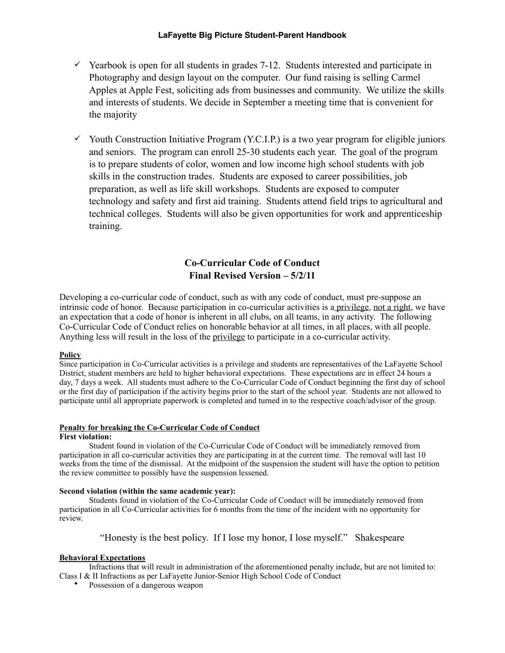- $\checkmark$  Yearbook is open for all students in grades 7-12. Students interested and participate in Photography and design layout on the computer. Our fund raising is selling Carmel Apples at Apple Fest, soliciting ads from businesses and community. We utilize the skills and interests of students. We decide in September a meeting time that is convenient for the majority
- $\checkmark$  Youth Construction Initiative Program (Y.C.I.P.) is a two year program for eligible juniors and seniors. The program can enroll 25-30 students each year. The goal of the program is to prepare students of color, women and low income high school students with job skills in the construction trades. Students are exposed to career possibilities, job preparation, as well as life skill workshops. Students are exposed to computer technology and safety and first aid training. Students attend field trips to agricultural and technical colleges. Students will also be given opportunities for work and apprenticeship training.

## **Co-Curricular Code of Conduct Final Revised Version – 5/2/11**

Developing a co-curricular code of conduct, such as with any code of conduct, must pre-suppose an intrinsic code of honor. Because participation in co-curricular activities is a privilege, not a right, we have an expectation that a code of honor is inherent in all clubs, on all teams, in any activity. The following Co-Curricular Code of Conduct relies on honorable behavior at all times, in all places, with all people. Anything less will result in the loss of the privilege to participate in a co-curricular activity.

#### **Policy**

Since participation in Co-Curricular activities is a privilege and students are representatives of the LaFayette School District, student members are held to higher behavioral expectations. These expectations are in effect 24 hours a day, 7 days a week. All students must adhere to the Co-Curricular Code of Conduct beginning the first day of school or the first day of participation if the activity begins prior to the start of the school year. Students are not allowed to participate until all appropriate paperwork is completed and turned in to the respective coach/advisor of the group.

# **Penalty for breaking the Co-Curricular Code of Conduct**

#### **First violation:**

Student found in violation of the Co-Curricular Code of Conduct will be immediately removed from participation in all co-curricular activities they are participating in at the current time. The removal will last 10 weeks from the time of the dismissal. At the midpoint of the suspension the student will have the option to petition the review committee to possibly have the suspension lessened.

#### **Second violation (within the same academic year):**

Students found in violation of the Co-Curricular Code of Conduct will be immediately removed from participation in all Co-Curricular activities for 6 months from the time of the incident with no opportunity for review.

"Honesty is the best policy. If I lose my honor, I lose myself." Shakespeare

#### **Behavioral Expectations**

 Infractions that will result in administration of the aforementioned penalty include, but are not limited to: Class I & II Infractions as per LaFayette Junior-Senior High School Code of Conduct

• Possession of a dangerous weapon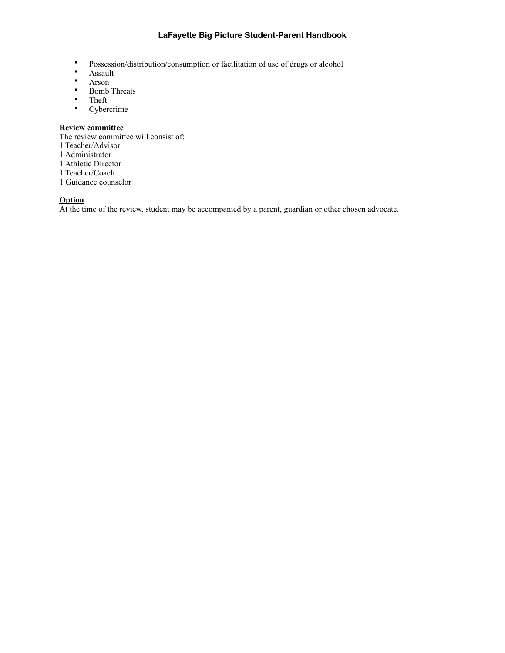- Possession/distribution/consumption or facilitation of use of drugs or alcohol<br>Assault
- Assault<br>• Arson
- Arson<br>• Bomb
- Bomb Threats<br>• Theft
- Theft<br>• Cyber
- Cybercrime

#### **Review committee**

The review committee will consist of: 1 Teacher/Advisor 1 Administrator

1 Athletic Director

1 Teacher/Coach

1 Guidance counselor

#### **Option**

At the time of the review, student may be accompanied by a parent, guardian or other chosen advocate.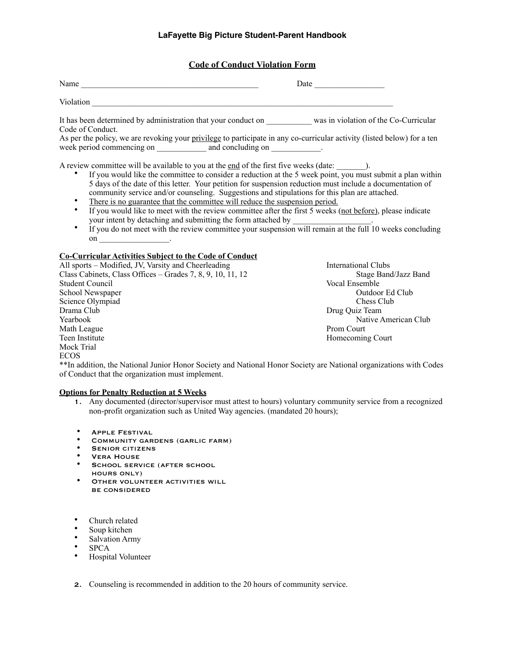#### **Code of Conduct Violation Form**

| Name Name                                                                                                                                                                                                                                                                                                                                                                                                                                                                                                                                                                                                                                                                   | Date                 |
|-----------------------------------------------------------------------------------------------------------------------------------------------------------------------------------------------------------------------------------------------------------------------------------------------------------------------------------------------------------------------------------------------------------------------------------------------------------------------------------------------------------------------------------------------------------------------------------------------------------------------------------------------------------------------------|----------------------|
| Violation                                                                                                                                                                                                                                                                                                                                                                                                                                                                                                                                                                                                                                                                   |                      |
| It has been determined by administration that your conduct on was in violation of the Co-Curricular<br>Code of Conduct.                                                                                                                                                                                                                                                                                                                                                                                                                                                                                                                                                     |                      |
| As per the policy, we are revoking your privilege to participate in any co-curricular activity (listed below) for a ten                                                                                                                                                                                                                                                                                                                                                                                                                                                                                                                                                     |                      |
| A review committee will be available to you at the <u>end</u> of the first five weeks (date: ).<br>If you would like the committee to consider a reduction at the 5 week point, you must submit a plan within<br>5 days of the date of this letter. Your petition for suspension reduction must include a documentation of<br>community service and/or counseling. Suggestions and stipulations for this plan are attached.<br>There is no guarantee that the committee will reduce the suspension period.<br>٠<br>$\bullet$<br>If you would like to meet with the review committee after the first 5 weeks (not before), please indicate<br>$\bullet$<br>on $\blacksquare$ |                      |
| <b>Co-Curricular Activities Subject to the Code of Conduct</b>                                                                                                                                                                                                                                                                                                                                                                                                                                                                                                                                                                                                              |                      |
| All sports - Modified, JV, Varsity and Cheerleading                                                                                                                                                                                                                                                                                                                                                                                                                                                                                                                                                                                                                         | International Clubs  |
| Class Cabinets, Class Offices – Grades 7, 8, 9, 10, 11, 12                                                                                                                                                                                                                                                                                                                                                                                                                                                                                                                                                                                                                  | Stage Band/Jazz Band |
| <b>Student Council</b>                                                                                                                                                                                                                                                                                                                                                                                                                                                                                                                                                                                                                                                      | Vocal Ensemble       |
| School Newspaper                                                                                                                                                                                                                                                                                                                                                                                                                                                                                                                                                                                                                                                            | Outdoor Ed Club      |
| Science Olympiad                                                                                                                                                                                                                                                                                                                                                                                                                                                                                                                                                                                                                                                            | Chess Club           |
| Drama Club                                                                                                                                                                                                                                                                                                                                                                                                                                                                                                                                                                                                                                                                  | Drug Quiz Team       |
| Yearbook                                                                                                                                                                                                                                                                                                                                                                                                                                                                                                                                                                                                                                                                    | Native American Club |
| Math League                                                                                                                                                                                                                                                                                                                                                                                                                                                                                                                                                                                                                                                                 | Prom Court           |

Teen Institute Homecoming Court

\*\*In addition, the National Junior Honor Society and National Honor Society are National organizations with Codes of Conduct that the organization must implement.

#### **Options for Penalty Reduction at 5 Weeks**

- 1. Any documented (director/supervisor must attest to hours) voluntary community service from a recognized non-profit organization such as United Way agencies. (mandated 20 hours);
- 

Mock Trial **ECOS** 

- Apple Festival Community gardens (garlic farm) Senior citizens Vera House School service (after school
- 
- 
- hours only)
- Other volunteer activities will be considered
- Church related<br>• Soun kitchen
- Soup kitchen<br>• Salvation Arm
- Salvation Army<br>•  $SPCA$
- SPCA<br>• Hospit
- Hospital Volunteer
- 2. Counseling is recommended in addition to the 20 hours of community service.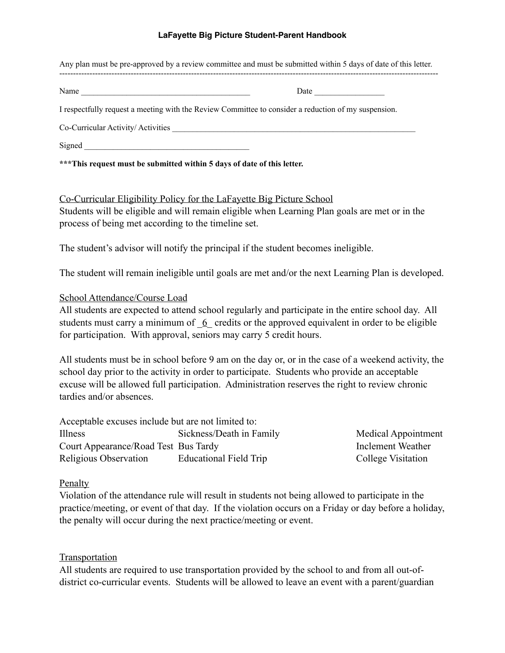| Name<br><u> 1989 - Johann Harry Harry Harry Harry Harry Harry Harry Harry Harry Harry Harry Harry Harry Harry Harry Harry</u>                                                                                                  | Date                                                                                                 |
|--------------------------------------------------------------------------------------------------------------------------------------------------------------------------------------------------------------------------------|------------------------------------------------------------------------------------------------------|
|                                                                                                                                                                                                                                | I respectfully request a meeting with the Review Committee to consider a reduction of my suspension. |
|                                                                                                                                                                                                                                | Co-Curricular Activity/Activities                                                                    |
| Signed Simple and the settlement of the settlement of the settlement of the settlement of the settlement of the settlement of the settlement of the settlement of the settlement of the settlement of the settlement of the se |                                                                                                      |

Co-Curricular Eligibility Policy for the LaFayette Big Picture School Students will be eligible and will remain eligible when Learning Plan goals are met or in the process of being met according to the timeline set.

The student's advisor will notify the principal if the student becomes ineligible.

The student will remain ineligible until goals are met and/or the next Learning Plan is developed.

# School Attendance/Course Load

All students are expected to attend school regularly and participate in the entire school day. All students must carry a minimum of  $6$  credits or the approved equivalent in order to be eligible for participation. With approval, seniors may carry 5 credit hours.

All students must be in school before 9 am on the day or, or in the case of a weekend activity, the school day prior to the activity in order to participate. Students who provide an acceptable excuse will be allowed full participation. Administration reserves the right to review chronic tardies and/or absences.

Acceptable excuses include but are not limited to: Illness Sickness/Death in Family Medical Appointment Court Appearance/Road Test Bus Tardy Inclement Weather Religious Observation Educational Field Trip College Visitation

#### **Penalty**

Violation of the attendance rule will result in students not being allowed to participate in the practice/meeting, or event of that day. If the violation occurs on a Friday or day before a holiday, the penalty will occur during the next practice/meeting or event.

#### **Transportation**

All students are required to use transportation provided by the school to and from all out-ofdistrict co-curricular events. Students will be allowed to leave an event with a parent/guardian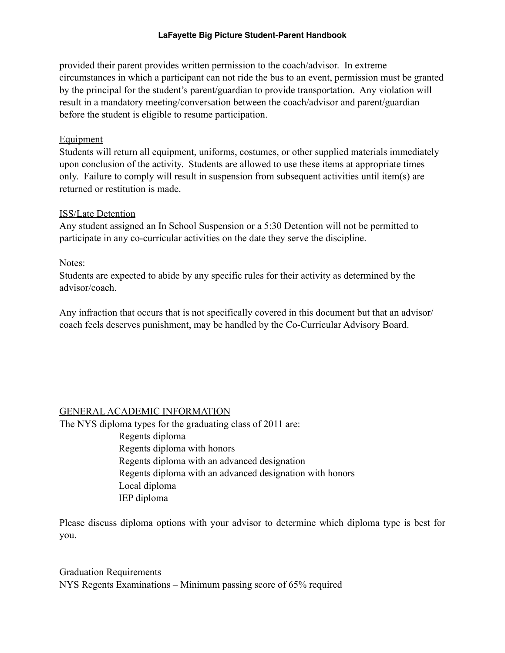provided their parent provides written permission to the coach/advisor. In extreme circumstances in which a participant can not ride the bus to an event, permission must be granted by the principal for the student's parent/guardian to provide transportation. Any violation will result in a mandatory meeting/conversation between the coach/advisor and parent/guardian before the student is eligible to resume participation.

#### **Equipment**

Students will return all equipment, uniforms, costumes, or other supplied materials immediately upon conclusion of the activity. Students are allowed to use these items at appropriate times only. Failure to comply will result in suspension from subsequent activities until item(s) are returned or restitution is made.

#### ISS/Late Detention

Any student assigned an In School Suspension or a 5:30 Detention will not be permitted to participate in any co-curricular activities on the date they serve the discipline.

#### Notes:

Students are expected to abide by any specific rules for their activity as determined by the advisor/coach.

Any infraction that occurs that is not specifically covered in this document but that an advisor/ coach feels deserves punishment, may be handled by the Co-Curricular Advisory Board.

## GENERAL ACADEMIC INFORMATION

The NYS diploma types for the graduating class of 2011 are:

 Regents diploma Regents diploma with honors Regents diploma with an advanced designation Regents diploma with an advanced designation with honors Local diploma IEP diploma

Please discuss diploma options with your advisor to determine which diploma type is best for you.

Graduation Requirements NYS Regents Examinations – Minimum passing score of 65% required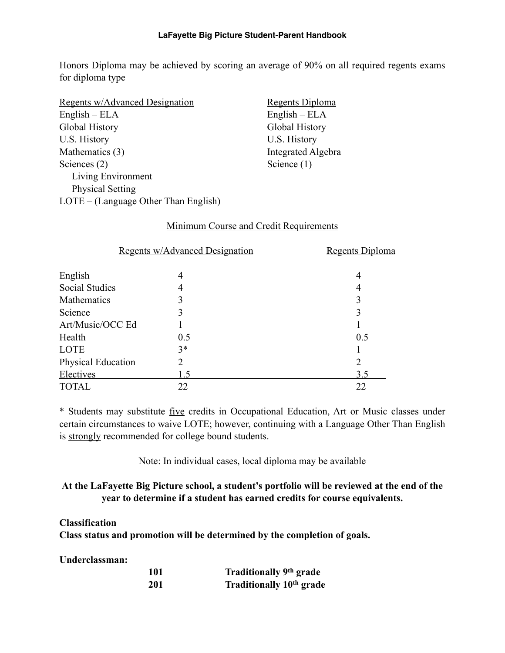Honors Diploma may be achieved by scoring an average of 90% on all required regents exams for diploma type

| Regents Diploma           |
|---------------------------|
| $English - ELA$           |
| Global History            |
| U.S. History              |
| <b>Integrated Algebra</b> |
| Science $(1)$             |
|                           |
|                           |
|                           |
|                           |

#### Minimum Course and Credit Requirements

| Regents w/Advanced Designation |      | Regents Diploma |
|--------------------------------|------|-----------------|
| English                        | 4    | 4               |
| <b>Social Studies</b>          | 4    | 4               |
| Mathematics                    |      | 3               |
| Science                        |      | 3               |
| Art/Music/OCC Ed               |      |                 |
| Health                         | 0.5  | 0.5             |
| LOTE                           | $3*$ |                 |
| Physical Education             | 2    | 2               |
| Electives                      | 1.5  | 3.5             |
| <b>TOTAL</b>                   | 22   | 22              |

\* Students may substitute five credits in Occupational Education, Art or Music classes under certain circumstances to waive LOTE; however, continuing with a Language Other Than English is strongly recommended for college bound students.

Note: In individual cases, local diploma may be available

#### **At the LaFayette Big Picture school, a student's portfolio will be reviewed at the end of the year to determine if a student has earned credits for course equivalents.**

#### **Classification**

**Class status and promotion will be determined by the completion of goals.** 

**Underclassman:** 

| 101 | Traditionally 9 <sup>th</sup> grade  |
|-----|--------------------------------------|
| 201 | Traditionally 10 <sup>th</sup> grade |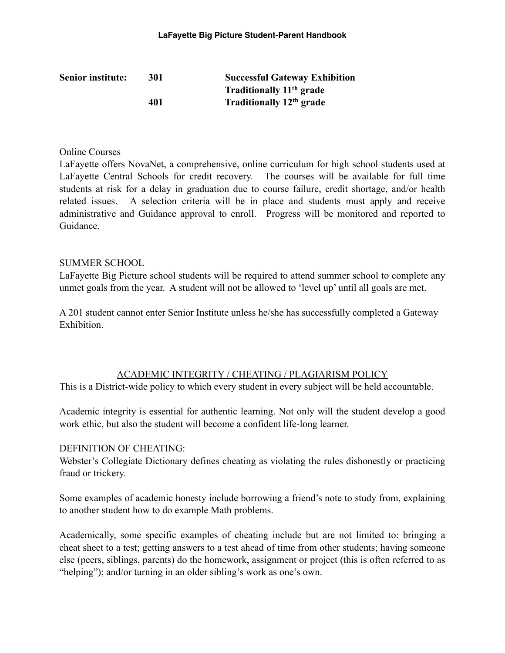| <b>Senior institute:</b> | 301 | <b>Successful Gateway Exhibition</b> |
|--------------------------|-----|--------------------------------------|
|                          |     | Traditionally 11 <sup>th</sup> grade |
|                          | 401 | Traditionally 12 <sup>th</sup> grade |

#### Online Courses

LaFayette offers NovaNet, a comprehensive, online curriculum for high school students used at LaFayette Central Schools for credit recovery. The courses will be available for full time students at risk for a delay in graduation due to course failure, credit shortage, and/or health related issues. A selection criteria will be in place and students must apply and receive administrative and Guidance approval to enroll. Progress will be monitored and reported to Guidance.

#### SUMMER SCHOOL

LaFayette Big Picture school students will be required to attend summer school to complete any unmet goals from the year. A student will not be allowed to 'level up' until all goals are met.

A 201 student cannot enter Senior Institute unless he/she has successfully completed a Gateway Exhibition.

#### ACADEMIC INTEGRITY / CHEATING / PLAGIARISM POLICY

This is a District-wide policy to which every student in every subject will be held accountable.

Academic integrity is essential for authentic learning. Not only will the student develop a good work ethic, but also the student will become a confident life-long learner.

#### DEFINITION OF CHEATING:

Webster's Collegiate Dictionary defines cheating as violating the rules dishonestly or practicing fraud or trickery.

Some examples of academic honesty include borrowing a friend's note to study from, explaining to another student how to do example Math problems.

Academically, some specific examples of cheating include but are not limited to: bringing a cheat sheet to a test; getting answers to a test ahead of time from other students; having someone else (peers, siblings, parents) do the homework, assignment or project (this is often referred to as "helping"); and/or turning in an older sibling's work as one's own.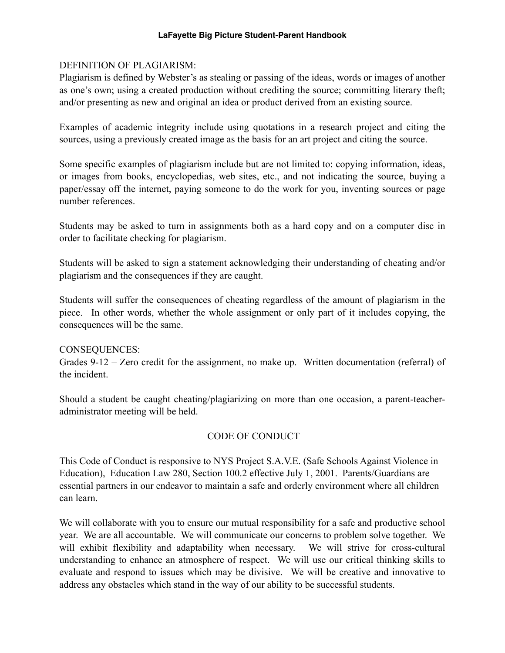#### DEFINITION OF PLAGIARISM:

Plagiarism is defined by Webster's as stealing or passing of the ideas, words or images of another as one's own; using a created production without crediting the source; committing literary theft; and/or presenting as new and original an idea or product derived from an existing source.

Examples of academic integrity include using quotations in a research project and citing the sources, using a previously created image as the basis for an art project and citing the source.

Some specific examples of plagiarism include but are not limited to: copying information, ideas, or images from books, encyclopedias, web sites, etc., and not indicating the source, buying a paper/essay off the internet, paying someone to do the work for you, inventing sources or page number references.

Students may be asked to turn in assignments both as a hard copy and on a computer disc in order to facilitate checking for plagiarism.

Students will be asked to sign a statement acknowledging their understanding of cheating and/or plagiarism and the consequences if they are caught.

Students will suffer the consequences of cheating regardless of the amount of plagiarism in the piece. In other words, whether the whole assignment or only part of it includes copying, the consequences will be the same.

## CONSEQUENCES:

Grades 9-12 – Zero credit for the assignment, no make up. Written documentation (referral) of the incident.

Should a student be caught cheating/plagiarizing on more than one occasion, a parent-teacheradministrator meeting will be held.

## CODE OF CONDUCT

This Code of Conduct is responsive to NYS Project S.A.V.E. (Safe Schools Against Violence in Education), Education Law 280, Section 100.2 effective July 1, 2001. Parents/Guardians are essential partners in our endeavor to maintain a safe and orderly environment where all children can learn.

We will collaborate with you to ensure our mutual responsibility for a safe and productive school year. We are all accountable. We will communicate our concerns to problem solve together. We will exhibit flexibility and adaptability when necessary. We will strive for cross-cultural understanding to enhance an atmosphere of respect. We will use our critical thinking skills to evaluate and respond to issues which may be divisive. We will be creative and innovative to address any obstacles which stand in the way of our ability to be successful students.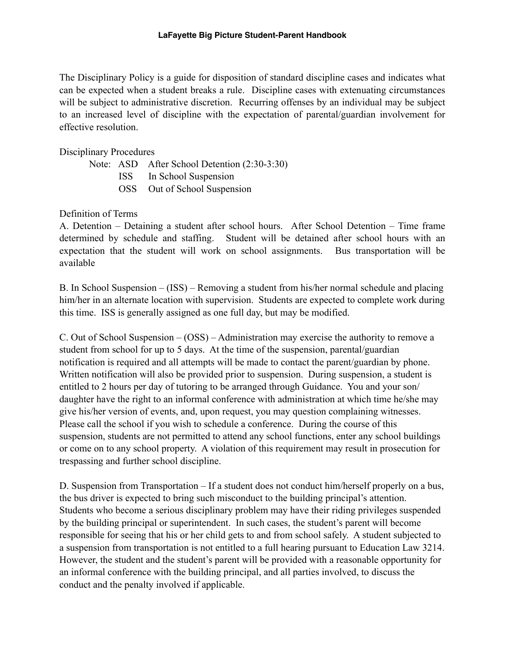The Disciplinary Policy is a guide for disposition of standard discipline cases and indicates what can be expected when a student breaks a rule. Discipline cases with extenuating circumstances will be subject to administrative discretion. Recurring offenses by an individual may be subject to an increased level of discipline with the expectation of parental/guardian involvement for effective resolution.

Disciplinary Procedures

|  | Note: ASD After School Detention (2:30-3:30) |
|--|----------------------------------------------|
|  | ISS In School Suspension                     |
|  | OSS Out of School Suspension                 |

Definition of Terms

A. Detention – Detaining a student after school hours. After School Detention – Time frame determined by schedule and staffing. Student will be detained after school hours with an expectation that the student will work on school assignments. Bus transportation will be available

B. In School Suspension – (ISS) – Removing a student from his/her normal schedule and placing him/her in an alternate location with supervision. Students are expected to complete work during this time. ISS is generally assigned as one full day, but may be modified.

C. Out of School Suspension – (OSS) – Administration may exercise the authority to remove a student from school for up to 5 days. At the time of the suspension, parental/guardian notification is required and all attempts will be made to contact the parent/guardian by phone. Written notification will also be provided prior to suspension. During suspension, a student is entitled to 2 hours per day of tutoring to be arranged through Guidance. You and your son/ daughter have the right to an informal conference with administration at which time he/she may give his/her version of events, and, upon request, you may question complaining witnesses. Please call the school if you wish to schedule a conference. During the course of this suspension, students are not permitted to attend any school functions, enter any school buildings or come on to any school property. A violation of this requirement may result in prosecution for trespassing and further school discipline.

D. Suspension from Transportation – If a student does not conduct him/herself properly on a bus, the bus driver is expected to bring such misconduct to the building principal's attention. Students who become a serious disciplinary problem may have their riding privileges suspended by the building principal or superintendent. In such cases, the student's parent will become responsible for seeing that his or her child gets to and from school safely. A student subjected to a suspension from transportation is not entitled to a full hearing pursuant to Education Law 3214. However, the student and the student's parent will be provided with a reasonable opportunity for an informal conference with the building principal, and all parties involved, to discuss the conduct and the penalty involved if applicable.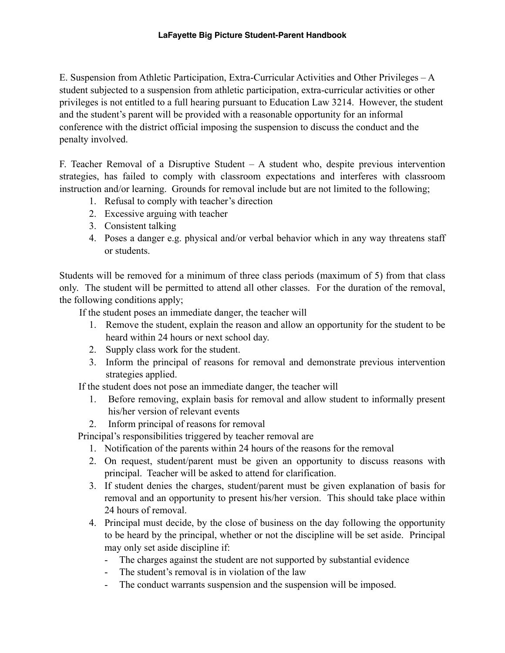E. Suspension from Athletic Participation, Extra-Curricular Activities and Other Privileges – A student subjected to a suspension from athletic participation, extra-curricular activities or other privileges is not entitled to a full hearing pursuant to Education Law 3214. However, the student and the student's parent will be provided with a reasonable opportunity for an informal conference with the district official imposing the suspension to discuss the conduct and the penalty involved.

F. Teacher Removal of a Disruptive Student – A student who, despite previous intervention strategies, has failed to comply with classroom expectations and interferes with classroom instruction and/or learning. Grounds for removal include but are not limited to the following;

- 1. Refusal to comply with teacher's direction
- 2. Excessive arguing with teacher
- 3. Consistent talking
- 4. Poses a danger e.g. physical and/or verbal behavior which in any way threatens staff or students.

Students will be removed for a minimum of three class periods (maximum of 5) from that class only. The student will be permitted to attend all other classes. For the duration of the removal, the following conditions apply;

If the student poses an immediate danger, the teacher will

- 1. Remove the student, explain the reason and allow an opportunity for the student to be heard within 24 hours or next school day.
- 2. Supply class work for the student.
- 3. Inform the principal of reasons for removal and demonstrate previous intervention strategies applied.

If the student does not pose an immediate danger, the teacher will

- 1. Before removing, explain basis for removal and allow student to informally present his/her version of relevant events
- 2. Inform principal of reasons for removal

Principal's responsibilities triggered by teacher removal are

- 1. Notification of the parents within 24 hours of the reasons for the removal
- 2. On request, student/parent must be given an opportunity to discuss reasons with principal. Teacher will be asked to attend for clarification.
- 3. If student denies the charges, student/parent must be given explanation of basis for removal and an opportunity to present his/her version. This should take place within 24 hours of removal.
- 4. Principal must decide, by the close of business on the day following the opportunity to be heard by the principal, whether or not the discipline will be set aside. Principal may only set aside discipline if:
	- The charges against the student are not supported by substantial evidence
	- The student's removal is in violation of the law
	- The conduct warrants suspension and the suspension will be imposed.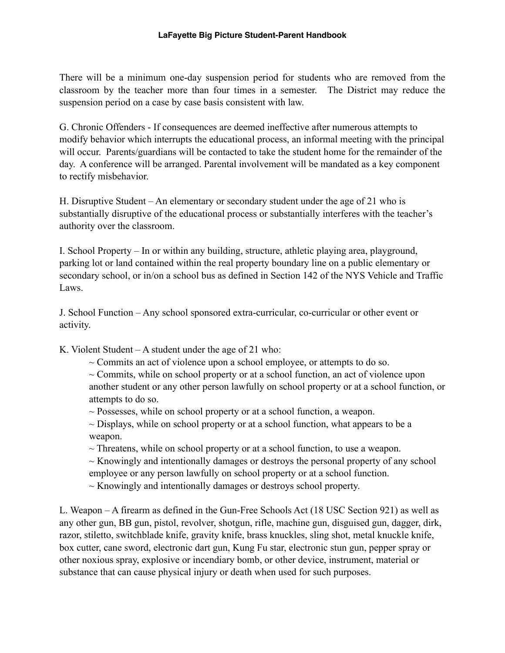There will be a minimum one-day suspension period for students who are removed from the classroom by the teacher more than four times in a semester. The District may reduce the suspension period on a case by case basis consistent with law.

G. Chronic Offenders - If consequences are deemed ineffective after numerous attempts to modify behavior which interrupts the educational process, an informal meeting with the principal will occur. Parents/guardians will be contacted to take the student home for the remainder of the day. A conference will be arranged. Parental involvement will be mandated as a key component to rectify misbehavior.

H. Disruptive Student – An elementary or secondary student under the age of 21 who is substantially disruptive of the educational process or substantially interferes with the teacher's authority over the classroom.

I. School Property – In or within any building, structure, athletic playing area, playground, parking lot or land contained within the real property boundary line on a public elementary or secondary school, or in/on a school bus as defined in Section 142 of the NYS Vehicle and Traffic Laws.

J. School Function – Any school sponsored extra-curricular, co-curricular or other event or activity.

K. Violent Student – A student under the age of 21 who:

 $\sim$  Commits an act of violence upon a school employee, or attempts to do so.

 $\sim$  Commits, while on school property or at a school function, an act of violence upon another student or any other person lawfully on school property or at a school function, or attempts to do so.

- $\sim$  Possesses, while on school property or at a school function, a weapon.
- $\sim$  Displays, while on school property or at a school function, what appears to be a weapon.
- $\sim$  Threatens, while on school property or at a school function, to use a weapon.

 $\sim$  Knowingly and intentionally damages or destroys the personal property of any school employee or any person lawfully on school property or at a school function.

 $\sim$  Knowingly and intentionally damages or destroys school property.

L. Weapon – A firearm as defined in the Gun-Free Schools Act (18 USC Section 921) as well as any other gun, BB gun, pistol, revolver, shotgun, rifle, machine gun, disguised gun, dagger, dirk, razor, stiletto, switchblade knife, gravity knife, brass knuckles, sling shot, metal knuckle knife, box cutter, cane sword, electronic dart gun, Kung Fu star, electronic stun gun, pepper spray or other noxious spray, explosive or incendiary bomb, or other device, instrument, material or substance that can cause physical injury or death when used for such purposes.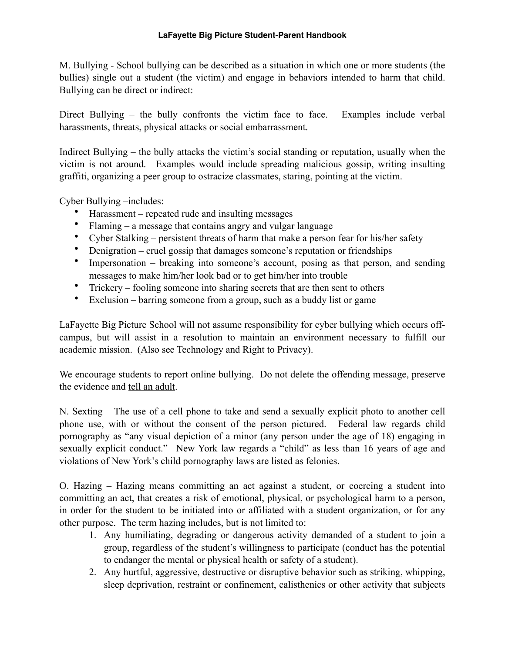M. Bullying - School bullying can be described as a situation in which one or more students (the bullies) single out a student (the victim) and engage in behaviors intended to harm that child. Bullying can be direct or indirect:

Direct Bullying – the bully confronts the victim face to face. Examples include verbal harassments, threats, physical attacks or social embarrassment.

Indirect Bullying – the bully attacks the victim's social standing or reputation, usually when the victim is not around. Examples would include spreading malicious gossip, writing insulting graffiti, organizing a peer group to ostracize classmates, staring, pointing at the victim.

Cyber Bullying –includes:

- Harassment repeated rude and insulting messages
- Flaming a message that contains angry and vulgar language
- Cyber Stalking persistent threats of harm that make a person fear for his/her safety
- Denigration cruel gossip that damages someone's reputation or friendships
- Impersonation breaking into someone's account, posing as that person, and sending messages to make him/her look bad or to get him/her into trouble
- Trickery fooling someone into sharing secrets that are then sent to others
- Exclusion barring someone from a group, such as a buddy list or game

LaFayette Big Picture School will not assume responsibility for cyber bullying which occurs offcampus, but will assist in a resolution to maintain an environment necessary to fulfill our academic mission. (Also see Technology and Right to Privacy).

We encourage students to report online bullying. Do not delete the offending message, preserve the evidence and tell an adult.

N. Sexting – The use of a cell phone to take and send a sexually explicit photo to another cell phone use, with or without the consent of the person pictured. Federal law regards child pornography as "any visual depiction of a minor (any person under the age of 18) engaging in sexually explicit conduct." New York law regards a "child" as less than 16 years of age and violations of New York's child pornography laws are listed as felonies.

O. Hazing – Hazing means committing an act against a student, or coercing a student into committing an act, that creates a risk of emotional, physical, or psychological harm to a person, in order for the student to be initiated into or affiliated with a student organization, or for any other purpose. The term hazing includes, but is not limited to:

- 1. Any humiliating, degrading or dangerous activity demanded of a student to join a group, regardless of the student's willingness to participate (conduct has the potential to endanger the mental or physical health or safety of a student).
- 2. Any hurtful, aggressive, destructive or disruptive behavior such as striking, whipping, sleep deprivation, restraint or confinement, calisthenics or other activity that subjects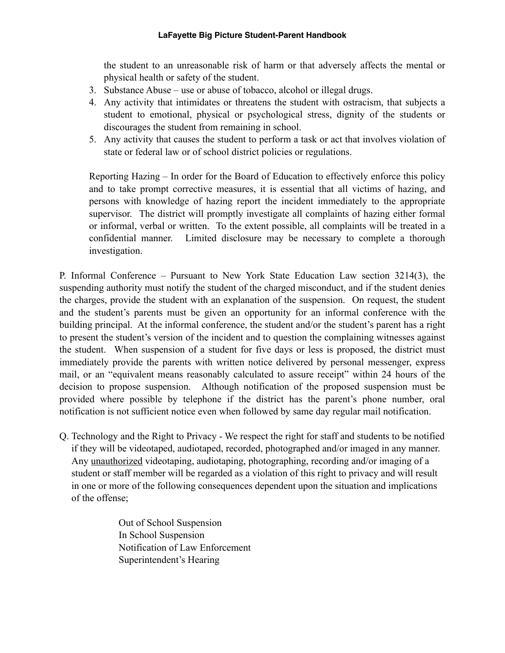the student to an unreasonable risk of harm or that adversely affects the mental or physical health or safety of the student.

- 3. Substance Abuse use or abuse of tobacco, alcohol or illegal drugs.
- 4. Any activity that intimidates or threatens the student with ostracism, that subjects a student to emotional, physical or psychological stress, dignity of the students or discourages the student from remaining in school.
- 5. Any activity that causes the student to perform a task or act that involves violation of state or federal law or of school district policies or regulations.

Reporting Hazing – In order for the Board of Education to effectively enforce this policy and to take prompt corrective measures, it is essential that all victims of hazing, and persons with knowledge of hazing report the incident immediately to the appropriate supervisor. The district will promptly investigate all complaints of hazing either formal or informal, verbal or written. To the extent possible, all complaints will be treated in a confidential manner. Limited disclosure may be necessary to complete a thorough investigation.

P. Informal Conference – Pursuant to New York State Education Law section 3214(3), the suspending authority must notify the student of the charged misconduct, and if the student denies the charges, provide the student with an explanation of the suspension. On request, the student and the student's parents must be given an opportunity for an informal conference with the building principal. At the informal conference, the student and/or the student's parent has a right to present the student's version of the incident and to question the complaining witnesses against the student. When suspension of a student for five days or less is proposed, the district must immediately provide the parents with written notice delivered by personal messenger, express mail, or an "equivalent means reasonably calculated to assure receipt" within 24 hours of the decision to propose suspension. Although notification of the proposed suspension must be provided where possible by telephone if the district has the parent's phone number, oral notification is not sufficient notice even when followed by same day regular mail notification.

Q. Technology and the Right to Privacy - We respect the right for staff and students to be notified if they will be videotaped, audiotaped, recorded, photographed and/or imaged in any manner. Any unauthorized videotaping, audiotaping, photographing, recording and/or imaging of a student or staff member will be regarded as a violation of this right to privacy and will result in one or more of the following consequences dependent upon the situation and implications of the offense;

> Out of School Suspension In School Suspension Notification of Law Enforcement Superintendent's Hearing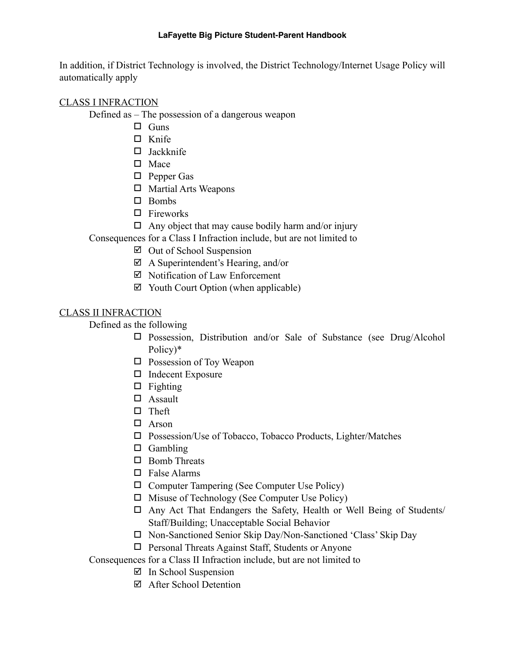In addition, if District Technology is involved, the District Technology/Internet Usage Policy will automatically apply

## CLASS I INFRACTION

Defined as – The possession of a dangerous weapon

- $\Box$  Guns
- $\Box$  Knife
- $\square$  Jackknife
- $\square$  Mace
- □ Pepper Gas
- Martial Arts Weapons
- Bombs
- $\square$  Fireworks
- $\Box$  Any object that may cause bodily harm and/or injury

Consequences for a Class I Infraction include, but are not limited to

- $\boxtimes$  Out of School Suspension
- $\boxtimes$  A Superintendent's Hearing, and/or
- $\boxtimes$  Notification of Law Enforcement
- $\boxtimes$  Youth Court Option (when applicable)

# CLASS II INFRACTION

Defined as the following

- Possession, Distribution and/or Sale of Substance (see Drug/Alcohol Policy)\*
- $\square$  Possession of Toy Weapon
- $\Box$  Indecent Exposure
- $\Box$  Fighting
- $\Box$  Assault
- $\square$  Theft
- $\Box$  Arson
- □ Possession/Use of Tobacco, Tobacco Products, Lighter/Matches
- $\Box$  Gambling
- □ Bomb Threats
- False Alarms
- $\Box$  Computer Tampering (See Computer Use Policy)
- $\Box$  Misuse of Technology (See Computer Use Policy)
- Any Act That Endangers the Safety, Health or Well Being of Students/ Staff/Building; Unacceptable Social Behavior
- Non-Sanctioned Senior Skip Day/Non-Sanctioned 'Class' Skip Day
- $\Box$  Personal Threats Against Staff, Students or Anyone

Consequences for a Class II Infraction include, but are not limited to

- $\boxtimes$  In School Suspension
- After School Detention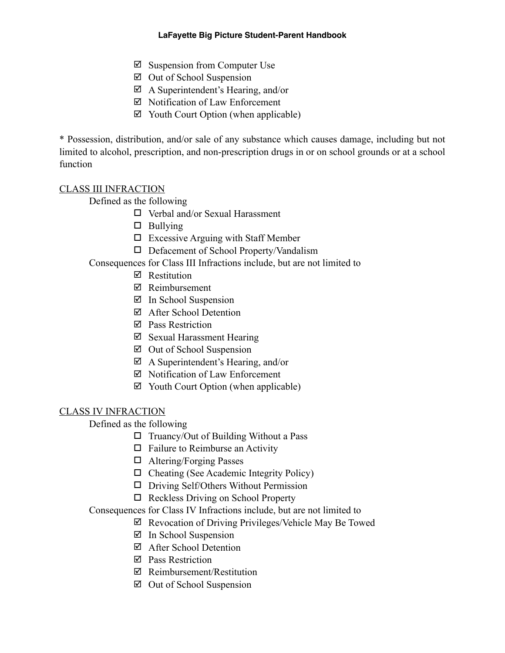- $\boxtimes$  Suspension from Computer Use
- $\boxtimes$  Out of School Suspension
- $\boxtimes$  A Superintendent's Hearing, and/or
- $\boxtimes$  Notification of Law Enforcement
- $\boxtimes$  Youth Court Option (when applicable)

\* Possession, distribution, and/or sale of any substance which causes damage, including but not limited to alcohol, prescription, and non-prescription drugs in or on school grounds or at a school function

# CLASS III INFRACTION

Defined as the following

- Verbal and/or Sexual Harassment
- $\Box$  Bullying
- $\square$  Excessive Arguing with Staff Member
- □ Defacement of School Property/Vandalism

Consequences for Class III Infractions include, but are not limited to

- Restitution
- $✓$  Reimbursement
- $\boxtimes$  In School Suspension
- After School Detention
- $\boxtimes$  Pass Restriction
- $\boxtimes$  Sexual Harassment Hearing
- $\boxtimes$  Out of School Suspension
- $\boxtimes$  A Superintendent's Hearing, and/or
- $\boxtimes$  Notification of Law Enforcement
- $\boxtimes$  Youth Court Option (when applicable)

# CLASS IV INFRACTION

Defined as the following

- $\Box$  Truancy/Out of Building Without a Pass
- $\Box$  Failure to Reimburse an Activity
- Altering/Forging Passes
- $\Box$  Cheating (See Academic Integrity Policy)
- $\Box$  Driving Self/Others Without Permission
- $\Box$  Reckless Driving on School Property

Consequences for Class IV Infractions include, but are not limited to

- $\boxtimes$  Revocation of Driving Privileges/Vehicle May Be Towed
- $\boxtimes$  In School Suspension
- After School Detention
- $\boxtimes$  Pass Restriction
- $\boxtimes$  Reimbursement/Restitution
- $\boxtimes$  Out of School Suspension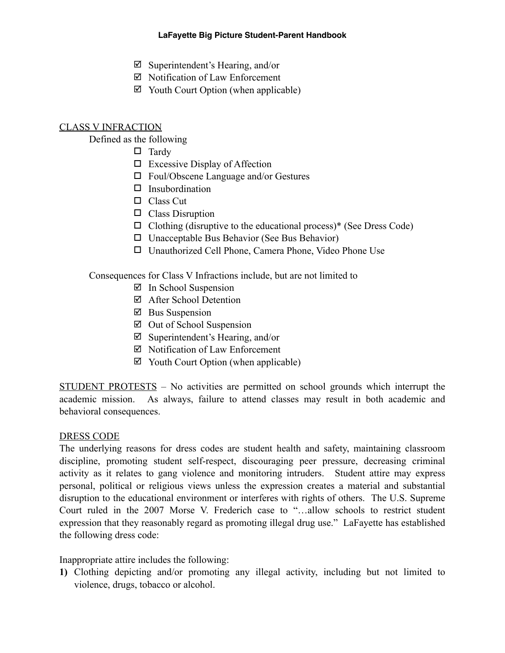- $\boxtimes$  Superintendent's Hearing, and/or
- $\boxtimes$  Notification of Law Enforcement
- $\boxtimes$  Youth Court Option (when applicable)

## CLASS V INFRACTION

Defined as the following

- $\square$  Tardy
- $\square$  Excessive Display of Affection
- Foul/Obscene Language and/or Gestures
- $\square$  Insubordination
- □ Class Cut
- $\square$  Class Disruption
- $\Box$  Clothing (disruptive to the educational process)\* (See Dress Code)
- $\square$  Unacceptable Bus Behavior (See Bus Behavior)
- Unauthorized Cell Phone, Camera Phone, Video Phone Use

Consequences for Class V Infractions include, but are not limited to

- $\boxtimes$  In School Suspension
- After School Detention
- $\boxtimes$  Bus Suspension
- $\boxtimes$  Out of School Suspension
- $\boxtimes$  Superintendent's Hearing, and/or
- $\boxtimes$  Notification of Law Enforcement
- $\boxtimes$  Youth Court Option (when applicable)

STUDENT PROTESTS – No activities are permitted on school grounds which interrupt the academic mission. As always, failure to attend classes may result in both academic and behavioral consequences.

#### DRESS CODE

The underlying reasons for dress codes are student health and safety, maintaining classroom discipline, promoting student self-respect, discouraging peer pressure, decreasing criminal activity as it relates to gang violence and monitoring intruders. Student attire may express personal, political or religious views unless the expression creates a material and substantial disruption to the educational environment or interferes with rights of others. The U.S. Supreme Court ruled in the 2007 Morse V. Frederich case to "…allow schools to restrict student expression that they reasonably regard as promoting illegal drug use." LaFayette has established the following dress code:

Inappropriate attire includes the following:

**1)** Clothing depicting and/or promoting any illegal activity, including but not limited to violence, drugs, tobacco or alcohol.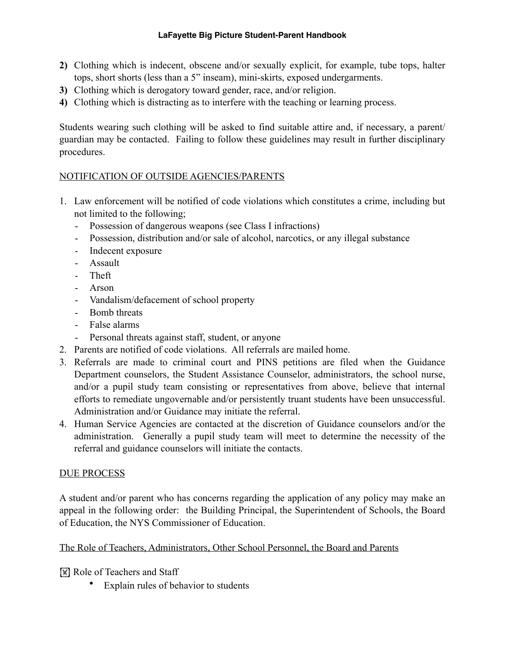- **2)** Clothing which is indecent, obscene and/or sexually explicit, for example, tube tops, halter tops, short shorts (less than a 5" inseam), mini-skirts, exposed undergarments.
- **3)** Clothing which is derogatory toward gender, race, and/or religion.
- **4)** Clothing which is distracting as to interfere with the teaching or learning process.

Students wearing such clothing will be asked to find suitable attire and, if necessary, a parent/ guardian may be contacted. Failing to follow these guidelines may result in further disciplinary procedures.

#### NOTIFICATION OF OUTSIDE AGENCIES/PARENTS

- 1. Law enforcement will be notified of code violations which constitutes a crime, including but not limited to the following;
	- Possession of dangerous weapons (see Class I infractions)
	- Possession, distribution and/or sale of alcohol, narcotics, or any illegal substance
	- Indecent exposure
	- Assault
	- Theft
	- Arson
	- Vandalism/defacement of school property
	- Bomb threats
	- False alarms
	- Personal threats against staff, student, or anyone
- 2. Parents are notified of code violations. All referrals are mailed home.
- 3. Referrals are made to criminal court and PINS petitions are filed when the Guidance Department counselors, the Student Assistance Counselor, administrators, the school nurse, and/or a pupil study team consisting or representatives from above, believe that internal efforts to remediate ungovernable and/or persistently truant students have been unsuccessful. Administration and/or Guidance may initiate the referral.
- 4. Human Service Agencies are contacted at the discretion of Guidance counselors and/or the administration. Generally a pupil study team will meet to determine the necessity of the referral and guidance counselors will initiate the contacts.

## DUE PROCESS

A student and/or parent who has concerns regarding the application of any policy may make an appeal in the following order: the Building Principal, the Superintendent of Schools, the Board of Education, the NYS Commissioner of Education.

The Role of Teachers, Administrators, Other School Personnel, the Board and Parents

**EX** Role of Teachers and Staff

• Explain rules of behavior to students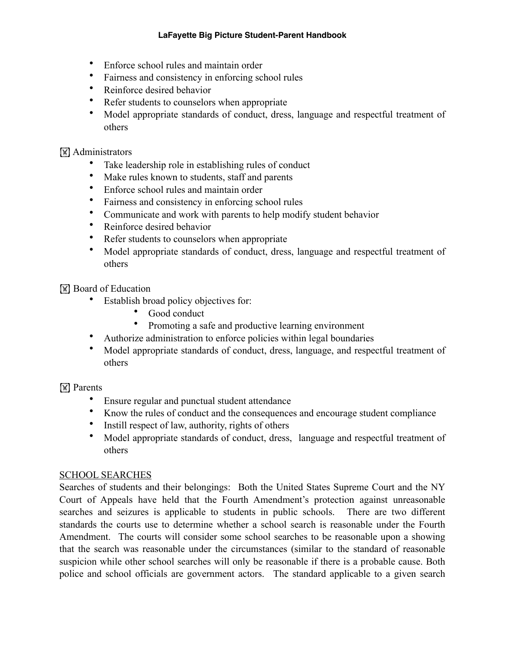- Enforce school rules and maintain order
- Fairness and consistency in enforcing school rules
- Reinforce desired behavior
- Refer students to counselors when appropriate
- Model appropriate standards of conduct, dress, language and respectful treatment of others

# **If Administrators**

- Take leadership role in establishing rules of conduct
- Make rules known to students, staff and parents
- Enforce school rules and maintain order
- Fairness and consistency in enforcing school rules<br>• Communicate and work with narents to help modif
- Communicate and work with parents to help modify student behavior
- Reinforce desired behavior
- Refer students to counselors when appropriate
- Model appropriate standards of conduct, dress, language and respectful treatment of others

**Ex** Board of Education

- Establish broad policy objectives for:
	- Good conduct
	- Promoting a safe and productive learning environment
- Authorize administration to enforce policies within legal boundaries
- Model appropriate standards of conduct, dress, language, and respectful treatment of others

**I'M** Parents

- Ensure regular and punctual student attendance
- Know the rules of conduct and the consequences and encourage student compliance
- Instill respect of law, authority, rights of others
- Model appropriate standards of conduct, dress, language and respectful treatment of others

# SCHOOL SEARCHES

Searches of students and their belongings: Both the United States Supreme Court and the NY Court of Appeals have held that the Fourth Amendment's protection against unreasonable searches and seizures is applicable to students in public schools. There are two different standards the courts use to determine whether a school search is reasonable under the Fourth Amendment. The courts will consider some school searches to be reasonable upon a showing that the search was reasonable under the circumstances (similar to the standard of reasonable suspicion while other school searches will only be reasonable if there is a probable cause. Both police and school officials are government actors. The standard applicable to a given search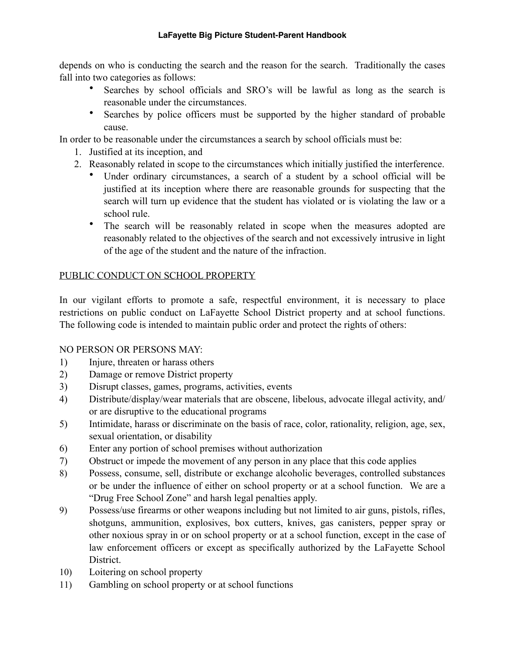depends on who is conducting the search and the reason for the search. Traditionally the cases fall into two categories as follows:

- Searches by school officials and SRO's will be lawful as long as the search is reasonable under the circumstances.
- Searches by police officers must be supported by the higher standard of probable cause.

In order to be reasonable under the circumstances a search by school officials must be:

- 1. Justified at its inception, and
- 2. Reasonably related in scope to the circumstances which initially justified the interference.
	- Under ordinary circumstances, a search of a student by a school official will be justified at its inception where there are reasonable grounds for suspecting that the search will turn up evidence that the student has violated or is violating the law or a school rule.
	- The search will be reasonably related in scope when the measures adopted are reasonably related to the objectives of the search and not excessively intrusive in light of the age of the student and the nature of the infraction.

# PUBLIC CONDUCT ON SCHOOL PROPERTY

In our vigilant efforts to promote a safe, respectful environment, it is necessary to place restrictions on public conduct on LaFayette School District property and at school functions. The following code is intended to maintain public order and protect the rights of others:

# NO PERSON OR PERSONS MAY:

- 1) Injure, threaten or harass others
- 2) Damage or remove District property
- 3) Disrupt classes, games, programs, activities, events
- 4) Distribute/display/wear materials that are obscene, libelous, advocate illegal activity, and/ or are disruptive to the educational programs
- 5) Intimidate, harass or discriminate on the basis of race, color, rationality, religion, age, sex, sexual orientation, or disability
- 6) Enter any portion of school premises without authorization
- 7) Obstruct or impede the movement of any person in any place that this code applies
- 8) Possess, consume, sell, distribute or exchange alcoholic beverages, controlled substances or be under the influence of either on school property or at a school function. We are a "Drug Free School Zone" and harsh legal penalties apply.
- 9) Possess/use firearms or other weapons including but not limited to air guns, pistols, rifles, shotguns, ammunition, explosives, box cutters, knives, gas canisters, pepper spray or other noxious spray in or on school property or at a school function, except in the case of law enforcement officers or except as specifically authorized by the LaFayette School District.
- 10) Loitering on school property
- 11) Gambling on school property or at school functions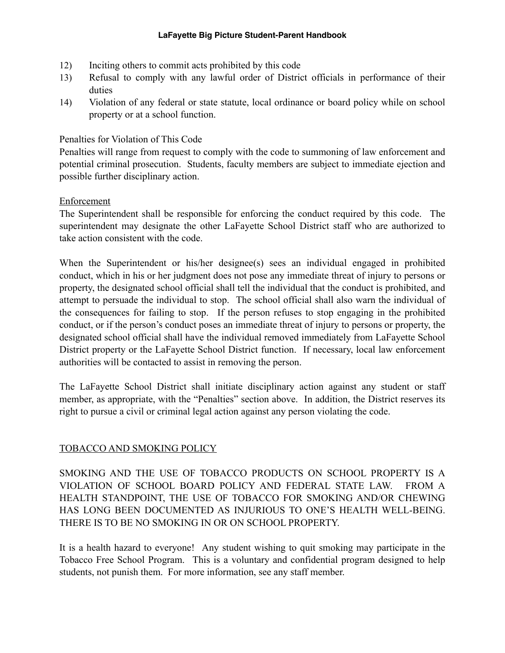- 12) Inciting others to commit acts prohibited by this code
- 13) Refusal to comply with any lawful order of District officials in performance of their duties
- 14) Violation of any federal or state statute, local ordinance or board policy while on school property or at a school function.

#### Penalties for Violation of This Code

Penalties will range from request to comply with the code to summoning of law enforcement and potential criminal prosecution. Students, faculty members are subject to immediate ejection and possible further disciplinary action.

## Enforcement

The Superintendent shall be responsible for enforcing the conduct required by this code. The superintendent may designate the other LaFayette School District staff who are authorized to take action consistent with the code.

When the Superintendent or his/her designee(s) sees an individual engaged in prohibited conduct, which in his or her judgment does not pose any immediate threat of injury to persons or property, the designated school official shall tell the individual that the conduct is prohibited, and attempt to persuade the individual to stop. The school official shall also warn the individual of the consequences for failing to stop. If the person refuses to stop engaging in the prohibited conduct, or if the person's conduct poses an immediate threat of injury to persons or property, the designated school official shall have the individual removed immediately from LaFayette School District property or the LaFayette School District function. If necessary, local law enforcement authorities will be contacted to assist in removing the person.

The LaFayette School District shall initiate disciplinary action against any student or staff member, as appropriate, with the "Penalties" section above. In addition, the District reserves its right to pursue a civil or criminal legal action against any person violating the code.

## TOBACCO AND SMOKING POLICY

SMOKING AND THE USE OF TOBACCO PRODUCTS ON SCHOOL PROPERTY IS A VIOLATION OF SCHOOL BOARD POLICY AND FEDERAL STATE LAW. FROM A HEALTH STANDPOINT, THE USE OF TOBACCO FOR SMOKING AND/OR CHEWING HAS LONG BEEN DOCUMENTED AS INJURIOUS TO ONE'S HEALTH WELL-BEING. THERE IS TO BE NO SMOKING IN OR ON SCHOOL PROPERTY.

It is a health hazard to everyone! Any student wishing to quit smoking may participate in the Tobacco Free School Program. This is a voluntary and confidential program designed to help students, not punish them. For more information, see any staff member.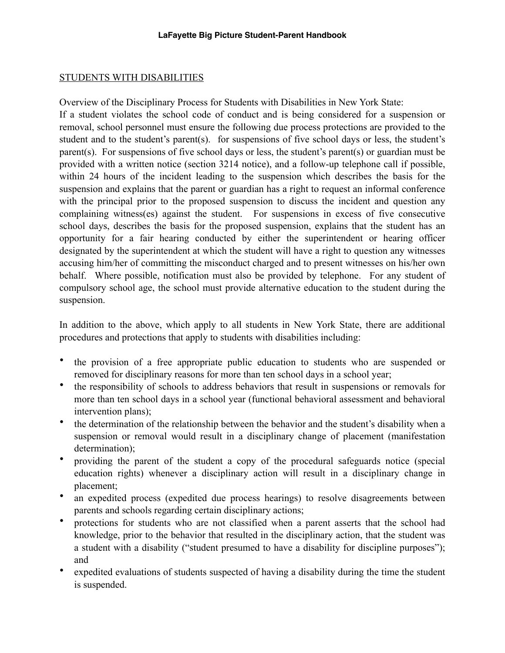#### STUDENTS WITH DISABILITIES

Overview of the Disciplinary Process for Students with Disabilities in New York State: If a student violates the school code of conduct and is being considered for a suspension or removal, school personnel must ensure the following due process protections are provided to the student and to the student's parent(s). for suspensions of five school days or less, the student's parent(s). For suspensions of five school days or less, the student's parent(s) or guardian must be provided with a written notice (section 3214 notice), and a follow-up telephone call if possible, within 24 hours of the incident leading to the suspension which describes the basis for the suspension and explains that the parent or guardian has a right to request an informal conference with the principal prior to the proposed suspension to discuss the incident and question any complaining witness(es) against the student. For suspensions in excess of five consecutive school days, describes the basis for the proposed suspension, explains that the student has an opportunity for a fair hearing conducted by either the superintendent or hearing officer designated by the superintendent at which the student will have a right to question any witnesses accusing him/her of committing the misconduct charged and to present witnesses on his/her own behalf. Where possible, notification must also be provided by telephone. For any student of compulsory school age, the school must provide alternative education to the student during the suspension.

In addition to the above, which apply to all students in New York State, there are additional procedures and protections that apply to students with disabilities including:

- the provision of a free appropriate public education to students who are suspended or removed for disciplinary reasons for more than ten school days in a school year;
- the responsibility of schools to address behaviors that result in suspensions or removals for more than ten school days in a school year (functional behavioral assessment and behavioral intervention plans);
- the determination of the relationship between the behavior and the student's disability when a suspension or removal would result in a disciplinary change of placement (manifestation determination);
- providing the parent of the student a copy of the procedural safeguards notice (special education rights) whenever a disciplinary action will result in a disciplinary change in placement;
- an expedited process (expedited due process hearings) to resolve disagreements between parents and schools regarding certain disciplinary actions;
- protections for students who are not classified when a parent asserts that the school had knowledge, prior to the behavior that resulted in the disciplinary action, that the student was a student with a disability ("student presumed to have a disability for discipline purposes"); and
- expedited evaluations of students suspected of having a disability during the time the student is suspended.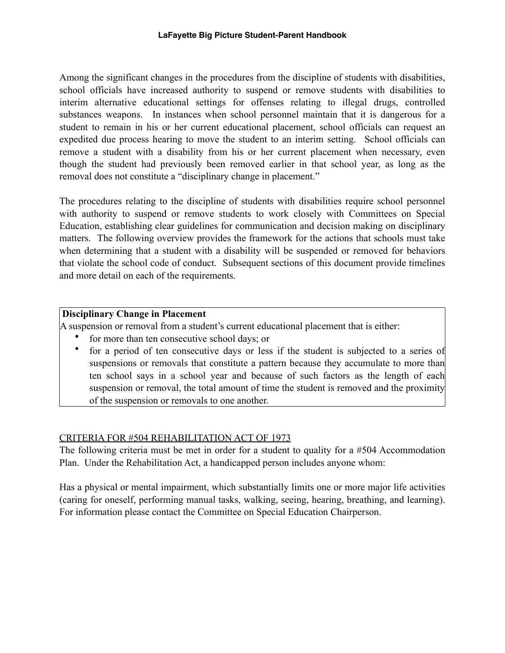Among the significant changes in the procedures from the discipline of students with disabilities, school officials have increased authority to suspend or remove students with disabilities to interim alternative educational settings for offenses relating to illegal drugs, controlled substances weapons. In instances when school personnel maintain that it is dangerous for a student to remain in his or her current educational placement, school officials can request an expedited due process hearing to move the student to an interim setting. School officials can remove a student with a disability from his or her current placement when necessary, even though the student had previously been removed earlier in that school year, as long as the removal does not constitute a "disciplinary change in placement."

The procedures relating to the discipline of students with disabilities require school personnel with authority to suspend or remove students to work closely with Committees on Special Education, establishing clear guidelines for communication and decision making on disciplinary matters. The following overview provides the framework for the actions that schools must take when determining that a student with a disability will be suspended or removed for behaviors that violate the school code of conduct. Subsequent sections of this document provide timelines and more detail on each of the requirements.

# **Disciplinary Change in Placement**

A suspension or removal from a student's current educational placement that is either:

- for more than ten consecutive school days; or
- for a period of ten consecutive days or less if the student is subjected to a series of suspensions or removals that constitute a pattern because they accumulate to more than ten school says in a school year and because of such factors as the length of each suspension or removal, the total amount of time the student is removed and the proximity of the suspension or removals to one another.

## CRITERIA FOR #504 REHABILITATION ACT OF 1973

The following criteria must be met in order for a student to quality for a #504 Accommodation Plan. Under the Rehabilitation Act, a handicapped person includes anyone whom:

Has a physical or mental impairment, which substantially limits one or more major life activities (caring for oneself, performing manual tasks, walking, seeing, hearing, breathing, and learning). For information please contact the Committee on Special Education Chairperson.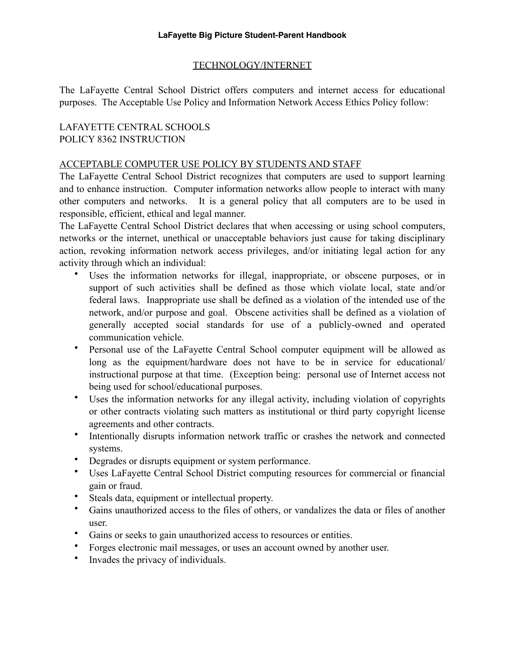## TECHNOLOGY/INTERNET

The LaFayette Central School District offers computers and internet access for educational purposes. The Acceptable Use Policy and Information Network Access Ethics Policy follow:

# LAFAYETTE CENTRAL SCHOOLS POLICY 8362 INSTRUCTION

## ACCEPTABLE COMPUTER USE POLICY BY STUDENTS AND STAFF

The LaFayette Central School District recognizes that computers are used to support learning and to enhance instruction. Computer information networks allow people to interact with many other computers and networks. It is a general policy that all computers are to be used in responsible, efficient, ethical and legal manner.

The LaFayette Central School District declares that when accessing or using school computers, networks or the internet, unethical or unacceptable behaviors just cause for taking disciplinary action, revoking information network access privileges, and/or initiating legal action for any activity through which an individual:

- Uses the information networks for illegal, inappropriate, or obscene purposes, or in support of such activities shall be defined as those which violate local, state and/or federal laws. Inappropriate use shall be defined as a violation of the intended use of the network, and/or purpose and goal. Obscene activities shall be defined as a violation of generally accepted social standards for use of a publicly-owned and operated communication vehicle.
- Personal use of the LaFayette Central School computer equipment will be allowed as long as the equipment/hardware does not have to be in service for educational/ instructional purpose at that time. (Exception being: personal use of Internet access not being used for school/educational purposes.
- Uses the information networks for any illegal activity, including violation of copyrights or other contracts violating such matters as institutional or third party copyright license agreements and other contracts.
- Intentionally disrupts information network traffic or crashes the network and connected systems.
- Degrades or disrupts equipment or system performance.
- Uses LaFayette Central School District computing resources for commercial or financial gain or fraud.
- Steals data, equipment or intellectual property.
- Gains unauthorized access to the files of others, or vandalizes the data or files of another user.
- Gains or seeks to gain unauthorized access to resources or entities.
- Forges electronic mail messages, or uses an account owned by another user.
- Invades the privacy of individuals.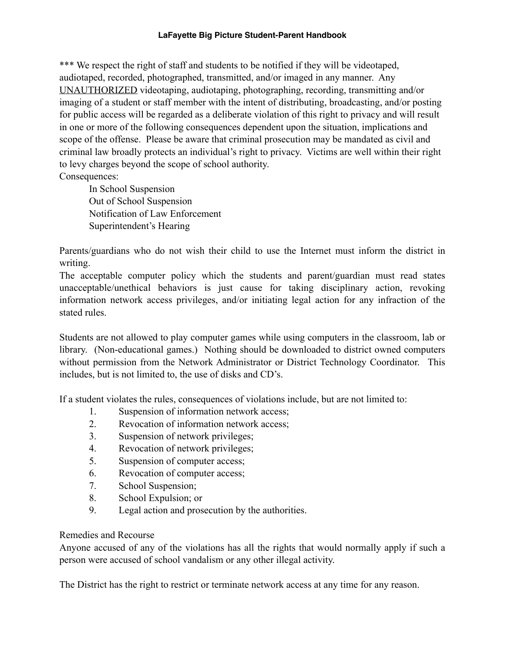\*\*\* We respect the right of staff and students to be notified if they will be videotaped, audiotaped, recorded, photographed, transmitted, and/or imaged in any manner. Any UNAUTHORIZED videotaping, audiotaping, photographing, recording, transmitting and/or imaging of a student or staff member with the intent of distributing, broadcasting, and/or posting for public access will be regarded as a deliberate violation of this right to privacy and will result in one or more of the following consequences dependent upon the situation, implications and scope of the offense. Please be aware that criminal prosecution may be mandated as civil and criminal law broadly protects an individual's right to privacy. Victims are well within their right to levy charges beyond the scope of school authority. Consequences:

 In School Suspension Out of School Suspension Notification of Law Enforcement Superintendent's Hearing

Parents/guardians who do not wish their child to use the Internet must inform the district in writing.

The acceptable computer policy which the students and parent/guardian must read states unacceptable/unethical behaviors is just cause for taking disciplinary action, revoking information network access privileges, and/or initiating legal action for any infraction of the stated rules.

Students are not allowed to play computer games while using computers in the classroom, lab or library. (Non-educational games.) Nothing should be downloaded to district owned computers without permission from the Network Administrator or District Technology Coordinator. This includes, but is not limited to, the use of disks and CD's.

If a student violates the rules, consequences of violations include, but are not limited to:

- 1. Suspension of information network access;
- 2. Revocation of information network access;
- 3. Suspension of network privileges;
- 4. Revocation of network privileges;
- 5. Suspension of computer access;
- 6. Revocation of computer access;
- 7. School Suspension;
- 8. School Expulsion; or
- 9. Legal action and prosecution by the authorities.

#### Remedies and Recourse

Anyone accused of any of the violations has all the rights that would normally apply if such a person were accused of school vandalism or any other illegal activity.

The District has the right to restrict or terminate network access at any time for any reason.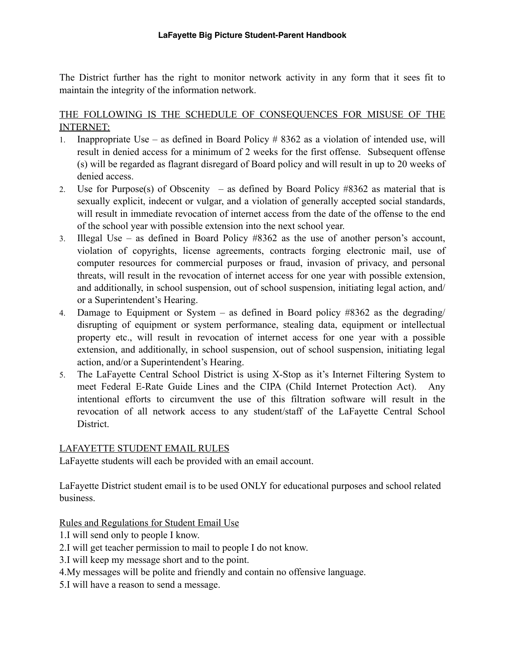The District further has the right to monitor network activity in any form that it sees fit to maintain the integrity of the information network.

# THE FOLLOWING IS THE SCHEDULE OF CONSEQUENCES FOR MISUSE OF THE INTERNET:

- 1. Inappropriate Use as defined in Board Policy # 8362 as a violation of intended use, will result in denied access for a minimum of 2 weeks for the first offense. Subsequent offense (s) will be regarded as flagrant disregard of Board policy and will result in up to 20 weeks of denied access.
- 2. Use for Purpose(s) of Obscenity as defined by Board Policy  $\#8362$  as material that is sexually explicit, indecent or vulgar, and a violation of generally accepted social standards, will result in immediate revocation of internet access from the date of the offense to the end of the school year with possible extension into the next school year.
- 3. Illegal Use as defined in Board Policy #8362 as the use of another person's account, violation of copyrights, license agreements, contracts forging electronic mail, use of computer resources for commercial purposes or fraud, invasion of privacy, and personal threats, will result in the revocation of internet access for one year with possible extension, and additionally, in school suspension, out of school suspension, initiating legal action, and/ or a Superintendent's Hearing.
- 4. Damage to Equipment or System as defined in Board policy #8362 as the degrading/ disrupting of equipment or system performance, stealing data, equipment or intellectual property etc., will result in revocation of internet access for one year with a possible extension, and additionally, in school suspension, out of school suspension, initiating legal action, and/or a Superintendent's Hearing.
- 5. The LaFayette Central School District is using X-Stop as it's Internet Filtering System to meet Federal E-Rate Guide Lines and the CIPA (Child Internet Protection Act). Any intentional efforts to circumvent the use of this filtration software will result in the revocation of all network access to any student/staff of the LaFayette Central School District.

# LAFAYETTE STUDENT EMAIL RULES

LaFayette students will each be provided with an email account.

LaFayette District student email is to be used ONLY for educational purposes and school related business.

## Rules and Regulations for Student Email Use

1.I will send only to people I know.

- 2.I will get teacher permission to mail to people I do not know.
- 3.I will keep my message short and to the point.
- 4.My messages will be polite and friendly and contain no offensive language.
- 5.I will have a reason to send a message.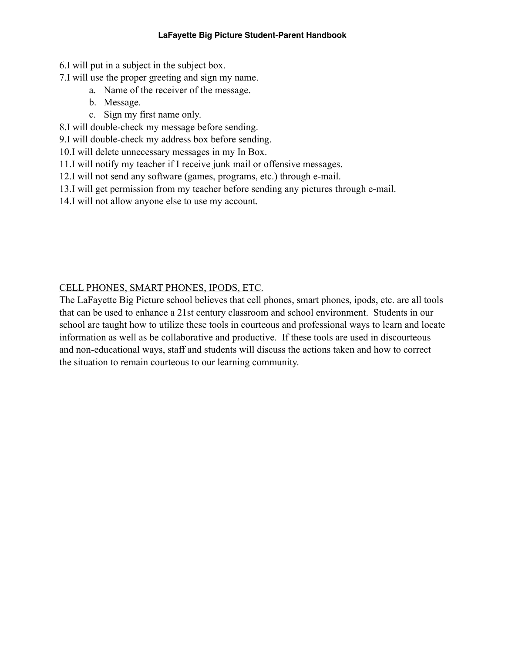6.I will put in a subject in the subject box.

7.I will use the proper greeting and sign my name.

- a. Name of the receiver of the message.
- b. Message.
- c. Sign my first name only.

8.I will double-check my message before sending.

9.I will double-check my address box before sending.

10.I will delete unnecessary messages in my In Box.

11.I will notify my teacher if I receive junk mail or offensive messages.

- 12.I will not send any software (games, programs, etc.) through e-mail.
- 13.I will get permission from my teacher before sending any pictures through e-mail.

14.I will not allow anyone else to use my account.

# CELL PHONES, SMART PHONES, IPODS, ETC.

The LaFayette Big Picture school believes that cell phones, smart phones, ipods, etc. are all tools that can be used to enhance a 21st century classroom and school environment. Students in our school are taught how to utilize these tools in courteous and professional ways to learn and locate information as well as be collaborative and productive. If these tools are used in discourteous and non-educational ways, staff and students will discuss the actions taken and how to correct the situation to remain courteous to our learning community.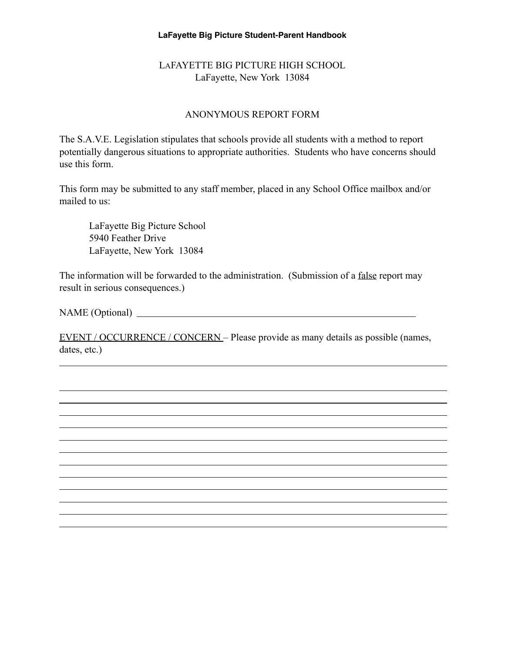# LAFAYETTE BIG PICTURE HIGH SCHOOL LaFayette, New York 13084

#### ANONYMOUS REPORT FORM

The S.A.V.E. Legislation stipulates that schools provide all students with a method to report potentially dangerous situations to appropriate authorities. Students who have concerns should use this form.

This form may be submitted to any staff member, placed in any School Office mailbox and/or mailed to us:

 LaFayette Big Picture School 5940 Feather Drive LaFayette, New York 13084

The information will be forwarded to the administration. (Submission of a <u>false</u> report may result in serious consequences.)

NAME (Optional)

 $\overline{a}$ 

EVENT / OCCURRENCE / CONCERN – Please provide as many details as possible (names, dates, etc.)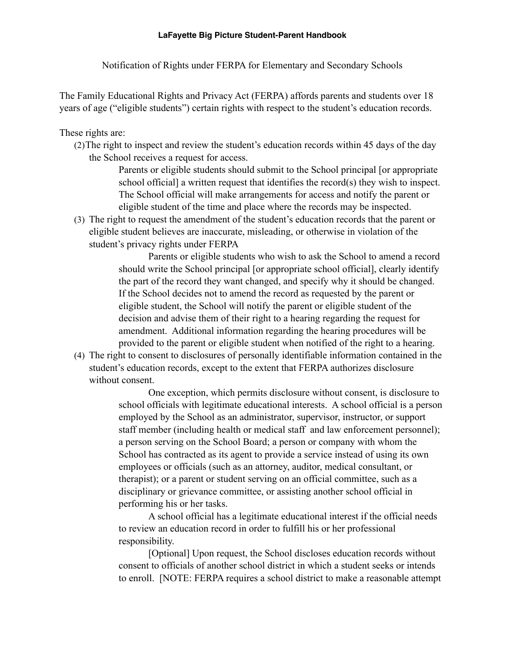Notification of Rights under FERPA for Elementary and Secondary Schools

The Family Educational Rights and Privacy Act (FERPA) affords parents and students over 18 years of age ("eligible students") certain rights with respect to the student's education records.

These rights are:

(2)The right to inspect and review the student's education records within 45 days of the day the School receives a request for access.

> Parents or eligible students should submit to the School principal [or appropriate school official] a written request that identifies the record(s) they wish to inspect. The School official will make arrangements for access and notify the parent or eligible student of the time and place where the records may be inspected.

(3) The right to request the amendment of the student's education records that the parent or eligible student believes are inaccurate, misleading, or otherwise in violation of the student's privacy rights under FERPA

> Parents or eligible students who wish to ask the School to amend a record should write the School principal [or appropriate school official], clearly identify the part of the record they want changed, and specify why it should be changed. If the School decides not to amend the record as requested by the parent or eligible student, the School will notify the parent or eligible student of the decision and advise them of their right to a hearing regarding the request for amendment. Additional information regarding the hearing procedures will be provided to the parent or eligible student when notified of the right to a hearing.

(4) The right to consent to disclosures of personally identifiable information contained in the student's education records, except to the extent that FERPA authorizes disclosure without consent.

> One exception, which permits disclosure without consent, is disclosure to school officials with legitimate educational interests. A school official is a person employed by the School as an administrator, supervisor, instructor, or support staff member (including health or medical staff and law enforcement personnel); a person serving on the School Board; a person or company with whom the School has contracted as its agent to provide a service instead of using its own employees or officials (such as an attorney, auditor, medical consultant, or therapist); or a parent or student serving on an official committee, such as a disciplinary or grievance committee, or assisting another school official in performing his or her tasks.

A school official has a legitimate educational interest if the official needs to review an education record in order to fulfill his or her professional responsibility.

[Optional] Upon request, the School discloses education records without consent to officials of another school district in which a student seeks or intends to enroll. [NOTE: FERPA requires a school district to make a reasonable attempt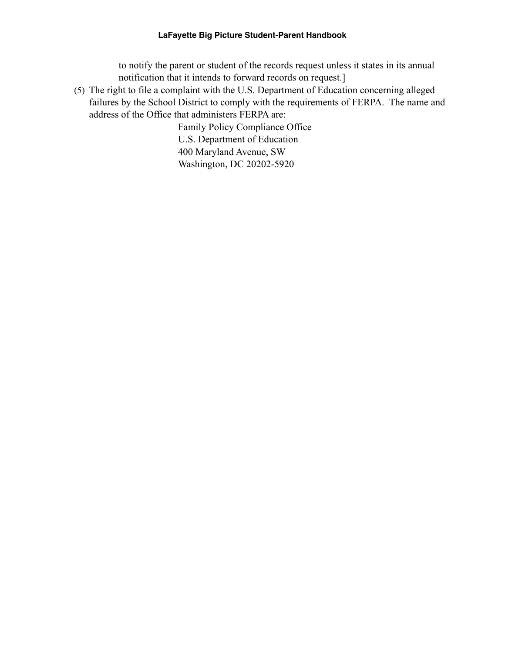to notify the parent or student of the records request unless it states in its annual notification that it intends to forward records on request.]

(5) The right to file a complaint with the U.S. Department of Education concerning alleged failures by the School District to comply with the requirements of FERPA. The name and address of the Office that administers FERPA are:

> Family Policy Compliance Office U.S. Department of Education 400 Maryland Avenue, SW Washington, DC 20202-5920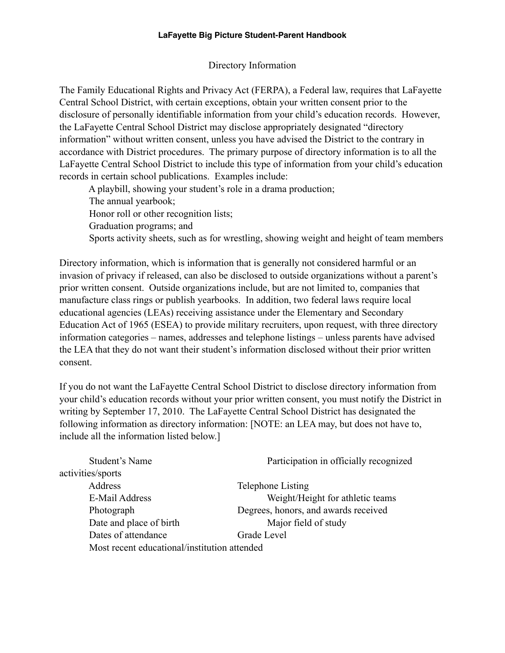Directory Information

The Family Educational Rights and Privacy Act (FERPA), a Federal law, requires that LaFayette Central School District, with certain exceptions, obtain your written consent prior to the disclosure of personally identifiable information from your child's education records. However, the LaFayette Central School District may disclose appropriately designated "directory information" without written consent, unless you have advised the District to the contrary in accordance with District procedures. The primary purpose of directory information is to all the LaFayette Central School District to include this type of information from your child's education records in certain school publications. Examples include:

A playbill, showing your student's role in a drama production;

The annual yearbook;

Honor roll or other recognition lists;

Graduation programs; and

Sports activity sheets, such as for wrestling, showing weight and height of team members

Directory information, which is information that is generally not considered harmful or an invasion of privacy if released, can also be disclosed to outside organizations without a parent's prior written consent. Outside organizations include, but are not limited to, companies that manufacture class rings or publish yearbooks. In addition, two federal laws require local educational agencies (LEAs) receiving assistance under the Elementary and Secondary Education Act of 1965 (ESEA) to provide military recruiters, upon request, with three directory information categories – names, addresses and telephone listings – unless parents have advised the LEA that they do not want their student's information disclosed without their prior written consent.

If you do not want the LaFayette Central School District to disclose directory information from your child's education records without your prior written consent, you must notify the District in writing by September 17, 2010. The LaFayette Central School District has designated the following information as directory information: [NOTE: an LEA may, but does not have to, include all the information listed below.]

| Participation in officially recognized       |
|----------------------------------------------|
|                                              |
| Telephone Listing                            |
| Weight/Height for athletic teams             |
| Degrees, honors, and awards received         |
| Major field of study                         |
| Grade Level                                  |
| Most recent educational/institution attended |
|                                              |